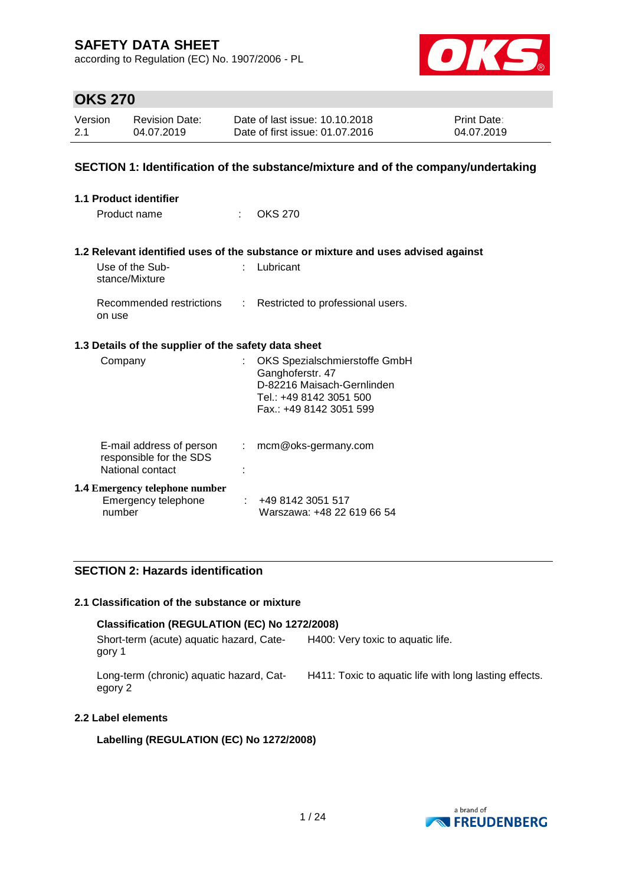according to Regulation (EC) No. 1907/2006 - PL



### **OKS 270**

| Version | Revision Date: | Date of last issue: 10.10.2018  | <b>Print Date:</b> |
|---------|----------------|---------------------------------|--------------------|
| 2.1     | 04.07.2019     | Date of first issue: 01.07.2016 | 04.07.2019         |

### **SECTION 1: Identification of the substance/mixture and of the company/undertaking**

| <b>1.1 Product identifier</b>                                           |                                                                                                                                                                                                                                                                                                                                                                                                                               |                                                                                                                                       |
|-------------------------------------------------------------------------|-------------------------------------------------------------------------------------------------------------------------------------------------------------------------------------------------------------------------------------------------------------------------------------------------------------------------------------------------------------------------------------------------------------------------------|---------------------------------------------------------------------------------------------------------------------------------------|
| Product name                                                            | ۰.                                                                                                                                                                                                                                                                                                                                                                                                                            | OKS 270                                                                                                                               |
|                                                                         |                                                                                                                                                                                                                                                                                                                                                                                                                               | 1.2 Relevant identified uses of the substance or mixture and uses advised against                                                     |
| Use of the Sub-<br>stance/Mixture                                       |                                                                                                                                                                                                                                                                                                                                                                                                                               | Lubricant                                                                                                                             |
| Recommended restrictions<br>on use                                      | $\mathcal{I}^{\mathcal{I}^{\mathcal{I}^{\mathcal{I}^{\mathcal{I}^{\mathcal{I}^{\mathcal{I}^{\mathcal{I}^{\mathcal{I}^{\mathcal{I}^{\mathcal{I}^{\mathcal{I}^{\mathcal{I}^{\mathcal{I}^{\mathcal{I}^{\mathcal{I}^{\mathcal{I}^{\mathcal{I}^{\mathcal{I}^{\mathcal{I}^{\mathcal{I}^{\mathcal{I}^{\mathcal{I}^{\mathcal{I}^{\mathcal{I}^{\mathcal{I}^{\mathcal{I}^{\mathcal{I}^{\mathcal{I}^{\mathcal{I}^{\mathcal{I}^{\mathcal$ | Restricted to professional users.                                                                                                     |
| 1.3 Details of the supplier of the safety data sheet                    |                                                                                                                                                                                                                                                                                                                                                                                                                               |                                                                                                                                       |
| Company                                                                 |                                                                                                                                                                                                                                                                                                                                                                                                                               | OKS Spezialschmierstoffe GmbH<br>Ganghoferstr. 47<br>D-82216 Maisach-Gernlinden<br>Tel.: +49 8142 3051 500<br>Fax.: +49 8142 3051 599 |
| E-mail address of person<br>responsible for the SDS<br>National contact | ÷.                                                                                                                                                                                                                                                                                                                                                                                                                            | mcm@oks-germany.com                                                                                                                   |
| <b>1.4 Emergency telephone number</b><br>Emergency telephone<br>number  |                                                                                                                                                                                                                                                                                                                                                                                                                               | : 4981423051517<br>Warszawa: +48 22 619 66 54                                                                                         |

### **SECTION 2: Hazards identification**

### **2.1 Classification of the substance or mixture**

### **Classification (REGULATION (EC) No 1272/2008)**

Short-term (acute) aquatic hazard, Category 1 H400: Very toxic to aquatic life.

Long-term (chronic) aquatic hazard, Category 2 H411: Toxic to aquatic life with long lasting effects.

### **2.2 Label elements**

### **Labelling (REGULATION (EC) No 1272/2008)**

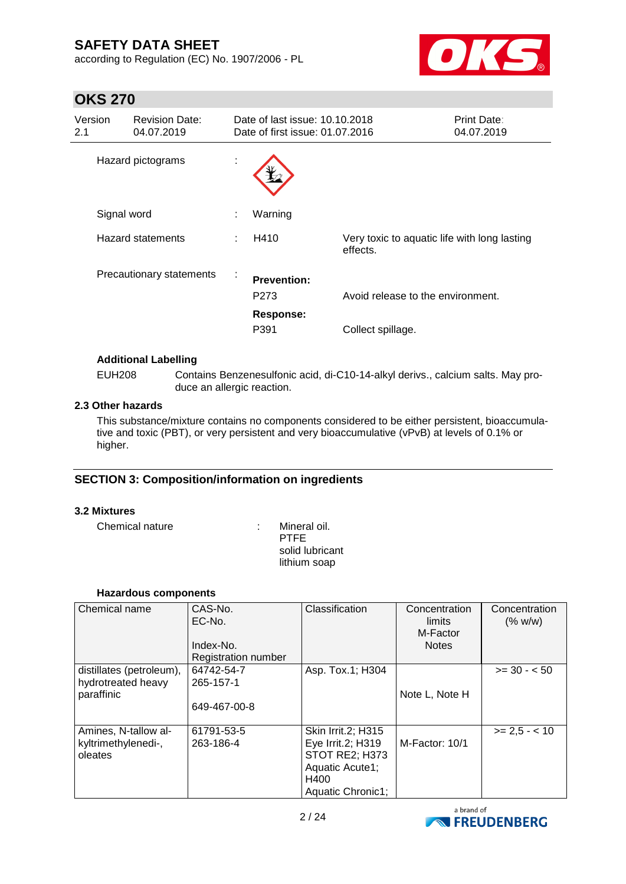according to Regulation (EC) No. 1907/2006 - PL



## **OKS 270**

| Version<br>2.1 |             | <b>Revision Date:</b><br>04.07.2019 |    | Date of last issue: 10.10.2018<br>Date of first issue: 01.07.2016 |                                                          | <b>Print Date:</b><br>04.07.2019 |
|----------------|-------------|-------------------------------------|----|-------------------------------------------------------------------|----------------------------------------------------------|----------------------------------|
|                |             | Hazard pictograms                   | ä. |                                                                   |                                                          |                                  |
|                | Signal word |                                     | ٠  | Warning                                                           |                                                          |                                  |
|                |             | Hazard statements                   | ÷  | H410                                                              | Very toxic to aquatic life with long lasting<br>effects. |                                  |
|                |             | Precautionary statements            | ÷  | <b>Prevention:</b><br>P <sub>273</sub><br><b>Response:</b>        | Avoid release to the environment.                        |                                  |
|                |             |                                     |    | P391                                                              | Collect spillage.                                        |                                  |

### **Additional Labelling**

EUH208 Contains Benzenesulfonic acid, di-C10-14-alkyl derivs., calcium salts. May produce an allergic reaction.

### **2.3 Other hazards**

This substance/mixture contains no components considered to be either persistent, bioaccumulative and toxic (PBT), or very persistent and very bioaccumulative (vPvB) at levels of 0.1% or higher.

### **SECTION 3: Composition/information on ingredients**

### **3.2 Mixtures**

Chemical nature : Mineral oil.

PTFE solid lubricant lithium soap

### **Hazardous components**

| Chemical name                                  | CAS-No.<br>EC-No.<br>Index-No.<br><b>Registration number</b> | Classification                    | Concentration<br>limits<br>M-Factor<br><b>Notes</b> | Concentration<br>(% w/w) |
|------------------------------------------------|--------------------------------------------------------------|-----------------------------------|-----------------------------------------------------|--------------------------|
| distillates (petroleum),<br>hydrotreated heavy | 64742-54-7<br>265-157-1                                      | Asp. Tox.1; H304                  |                                                     | $>= 30 - 50$             |
| paraffinic                                     |                                                              |                                   | Note L, Note H                                      |                          |
|                                                | 649-467-00-8                                                 |                                   |                                                     |                          |
| Amines, N-tallow al-                           | 61791-53-5                                                   | Skin Irrit.2; H315                |                                                     | $>= 2.5 - 10$            |
| kyltrimethylenedi-,                            | 263-186-4                                                    | Eye Irrit.2; H319                 | M-Factor: 10/1                                      |                          |
| oleates                                        |                                                              | STOT RE2; H373<br>Aquatic Acute1; |                                                     |                          |
|                                                |                                                              | H400                              |                                                     |                          |
|                                                |                                                              | Aquatic Chronic1;                 |                                                     |                          |

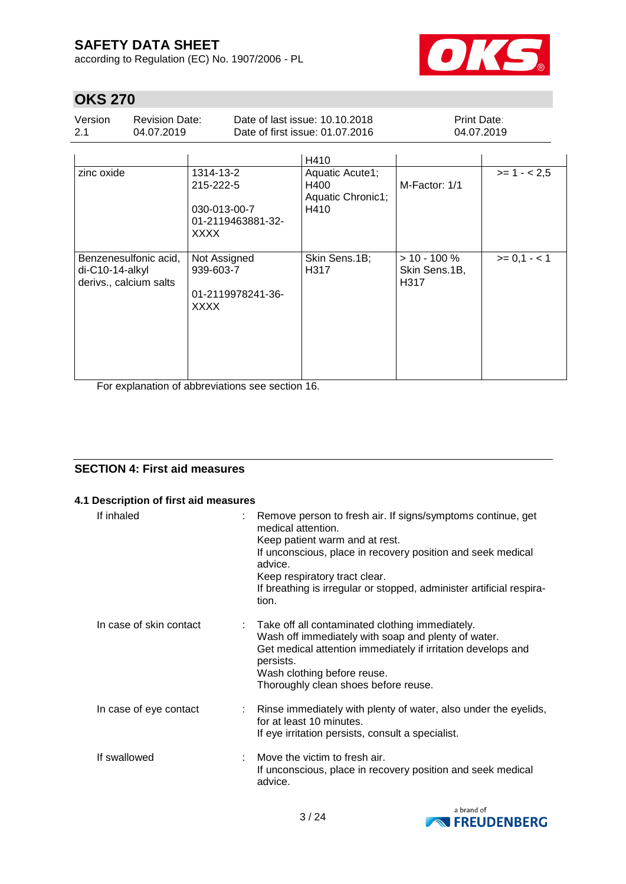according to Regulation (EC) No. 1907/2006 - PL



## **OKS 270**

| Version | <b>Revision Date:</b> | Date of last issue: 10.10.2018  | <b>Print Date:</b> |
|---------|-----------------------|---------------------------------|--------------------|
| 2.1     | 04.07.2019            | Date of first issue: 01.07.2016 | 04.07.2019         |

|                                                                      |                                                                            | H410                                                 |                                          |              |
|----------------------------------------------------------------------|----------------------------------------------------------------------------|------------------------------------------------------|------------------------------------------|--------------|
| zinc oxide                                                           | 1314-13-2<br>215-222-5<br>030-013-00-7<br>01-2119463881-32-<br><b>XXXX</b> | Aquatic Acute1;<br>H400<br>Aquatic Chronic1;<br>H410 | M-Factor: 1/1                            | $>= 1 - 2.5$ |
| Benzenesulfonic acid,<br>$di-C10-14-alkyl$<br>derivs., calcium salts | Not Assigned<br>939-603-7<br>01-2119978241-36-<br><b>XXXX</b>              | Skin Sens.1B;<br>H317                                | $> 10 - 100 \%$<br>Skin Sens.1B,<br>H317 | $>= 0,1 - 1$ |

For explanation of abbreviations see section 16.

### **SECTION 4: First aid measures**

### **4.1 Description of first aid measures**

| If inhaled              | : Remove person to fresh air. If signs/symptoms continue, get<br>medical attention.<br>Keep patient warm and at rest.<br>If unconscious, place in recovery position and seek medical<br>advice.<br>Keep respiratory tract clear.<br>If breathing is irregular or stopped, administer artificial respira-<br>tion. |
|-------------------------|-------------------------------------------------------------------------------------------------------------------------------------------------------------------------------------------------------------------------------------------------------------------------------------------------------------------|
| In case of skin contact | Take off all contaminated clothing immediately.<br>Wash off immediately with soap and plenty of water.<br>Get medical attention immediately if irritation develops and<br>persists.<br>Wash clothing before reuse.<br>Thoroughly clean shoes before reuse.                                                        |
| In case of eye contact  | : Rinse immediately with plenty of water, also under the eyelids,<br>for at least 10 minutes.<br>If eye irritation persists, consult a specialist.                                                                                                                                                                |
| If swallowed            | Move the victim to fresh air.<br>If unconscious, place in recovery position and seek medical<br>advice.                                                                                                                                                                                                           |

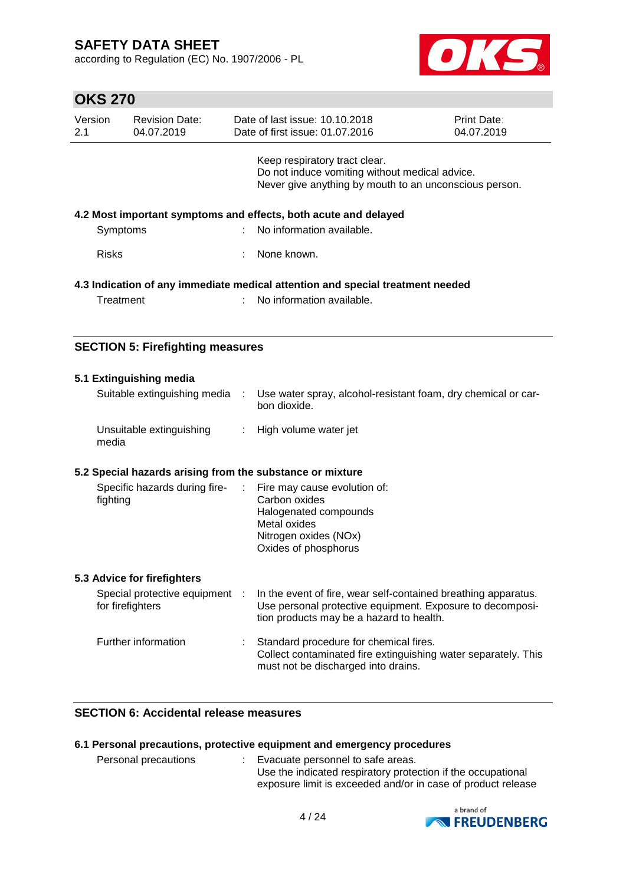according to Regulation (EC) No. 1907/2006 - PL



## **OKS 270**

| Version<br>2.1 | <b>Revision Date:</b><br>04.07.2019 | Date of last issue: 10.10.2018<br>Date of first issue: 01.07.2016                                                                         | <b>Print Date:</b><br>04.07.2019 |
|----------------|-------------------------------------|-------------------------------------------------------------------------------------------------------------------------------------------|----------------------------------|
|                |                                     | Keep respiratory tract clear.<br>Do not induce vomiting without medical advice.<br>Never give anything by mouth to an unconscious person. |                                  |
| Symptoms       |                                     | 4.2 Most important symptoms and effects, both acute and delayed<br>: No information available.                                            |                                  |
| <b>Risks</b>   |                                     | : None known.                                                                                                                             |                                  |
| Treatment      |                                     | 4.3 Indication of any immediate medical attention and special treatment needed<br>: No information available.                             |                                  |

### **SECTION 5: Firefighting measures**

| 5.1 Extinguishing media                                                  |    |                                                                                                                                                                         |
|--------------------------------------------------------------------------|----|-------------------------------------------------------------------------------------------------------------------------------------------------------------------------|
| Suitable extinguishing media :                                           |    | Use water spray, alcohol-resistant foam, dry chemical or car-<br>bon dioxide.                                                                                           |
| Unsuitable extinguishing<br>media                                        | ÷. | High volume water jet                                                                                                                                                   |
| 5.2 Special hazards arising from the substance or mixture                |    |                                                                                                                                                                         |
| Specific hazards during fire- : Fire may cause evolution of:<br>fighting |    | Carbon oxides<br>Halogenated compounds<br>Metal oxides<br>Nitrogen oxides (NOx)<br>Oxides of phosphorus                                                                 |
| 5.3 Advice for firefighters                                              |    |                                                                                                                                                                         |
| Special protective equipment :<br>for firefighters                       |    | In the event of fire, wear self-contained breathing apparatus.<br>Use personal protective equipment. Exposure to decomposi-<br>tion products may be a hazard to health. |
| Further information                                                      |    | Standard procedure for chemical fires.<br>Collect contaminated fire extinguishing water separately. This                                                                |

### **SECTION 6: Accidental release measures**

### **6.1 Personal precautions, protective equipment and emergency procedures**

| Personal precautions |  | Evacuate personnel to safe areas.                            |
|----------------------|--|--------------------------------------------------------------|
|                      |  | Use the indicated respiratory protection if the occupational |
|                      |  | exposure limit is exceeded and/or in case of product release |

must not be discharged into drains.

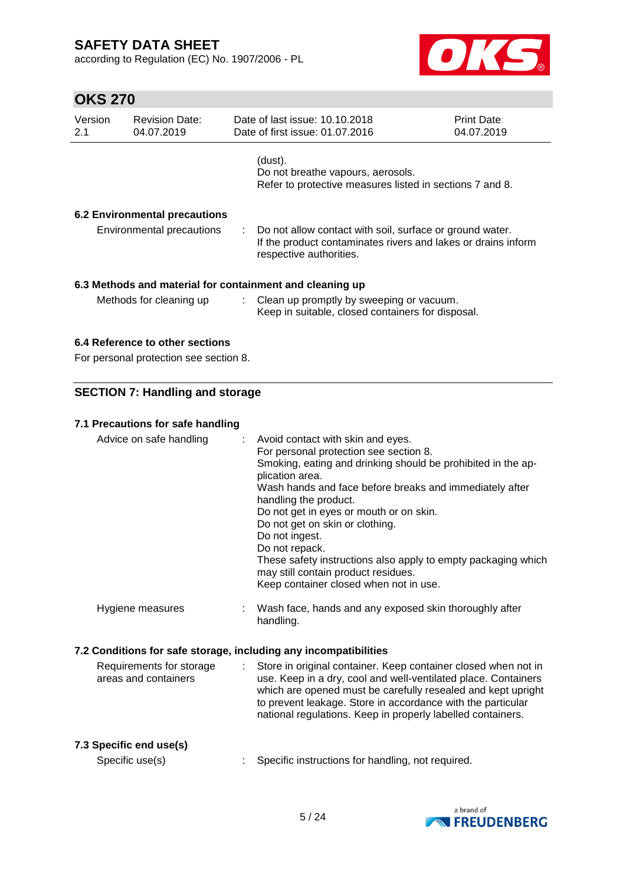according to Regulation (EC) No. 1907/2006 - PL



| <b>OKS 270</b> |                                        |                                                                                                                                                      |                           |
|----------------|----------------------------------------|------------------------------------------------------------------------------------------------------------------------------------------------------|---------------------------|
| Version<br>2.1 | <b>Revision Date:</b><br>04.07.2019    | Date of last issue: 10.10.2018<br>Date of first issue: 01.07.2016                                                                                    | Print Date:<br>04.07.2019 |
|                |                                        | (dust).<br>Do not breathe vapours, aerosols.<br>Refer to protective measures listed in sections 7 and 8.                                             |                           |
|                | <b>6.2 Environmental precautions</b>   |                                                                                                                                                      |                           |
|                | <b>Environmental precautions</b>       | Do not allow contact with soil, surface or ground water.<br>If the product contaminates rivers and lakes or drains inform<br>respective authorities. |                           |
|                |                                        | 6.3 Methods and material for containment and cleaning up                                                                                             |                           |
|                | Methods for cleaning up                | Clean up promptly by sweeping or vacuum.<br>Keep in suitable, closed containers for disposal.                                                        |                           |
|                | 6.4 Reference to other sections        |                                                                                                                                                      |                           |
|                | For personal protection see section 8. |                                                                                                                                                      |                           |
|                | <b>SECTION 7: Handling and storage</b> |                                                                                                                                                      |                           |
|                | 7.1 Precautions for safe handling      |                                                                                                                                                      |                           |
|                | Advice on safe handling                | Avoid contact with skin and eyes.<br>For personal protection see section 8.<br>Smoking eating and dripking should be probibited in the an-           |                           |

| Advice on safe handling                          | Avoid contact with skin and eyes.<br>÷<br>For personal protection see section 8.<br>Smoking, eating and drinking should be prohibited in the ap-<br>plication area.<br>Wash hands and face before breaks and immediately after<br>handling the product.<br>Do not get in eyes or mouth or on skin.<br>Do not get on skin or clothing.<br>Do not ingest.<br>Do not repack.<br>These safety instructions also apply to empty packaging which<br>may still contain product residues.<br>Keep container closed when not in use. |
|--------------------------------------------------|-----------------------------------------------------------------------------------------------------------------------------------------------------------------------------------------------------------------------------------------------------------------------------------------------------------------------------------------------------------------------------------------------------------------------------------------------------------------------------------------------------------------------------|
| Hygiene measures                                 | Wash face, hands and any exposed skin thoroughly after<br>handling.                                                                                                                                                                                                                                                                                                                                                                                                                                                         |
|                                                  | 7.2 Conditions for safe storage, including any incompatibilities                                                                                                                                                                                                                                                                                                                                                                                                                                                            |
| Requirements for storage<br>areas and containers | Store in original container. Keep container closed when not in<br>$\mathcal{L}^{\mathcal{L}}$<br>use. Keep in a dry, cool and well-ventilated place. Containers<br>which are opened must be carefully resealed and kept upright                                                                                                                                                                                                                                                                                             |

### **7.3 Specific end use(s)**

Specific use(s) : Specific instructions for handling, not required.



to prevent leakage. Store in accordance with the particular national regulations. Keep in properly labelled containers.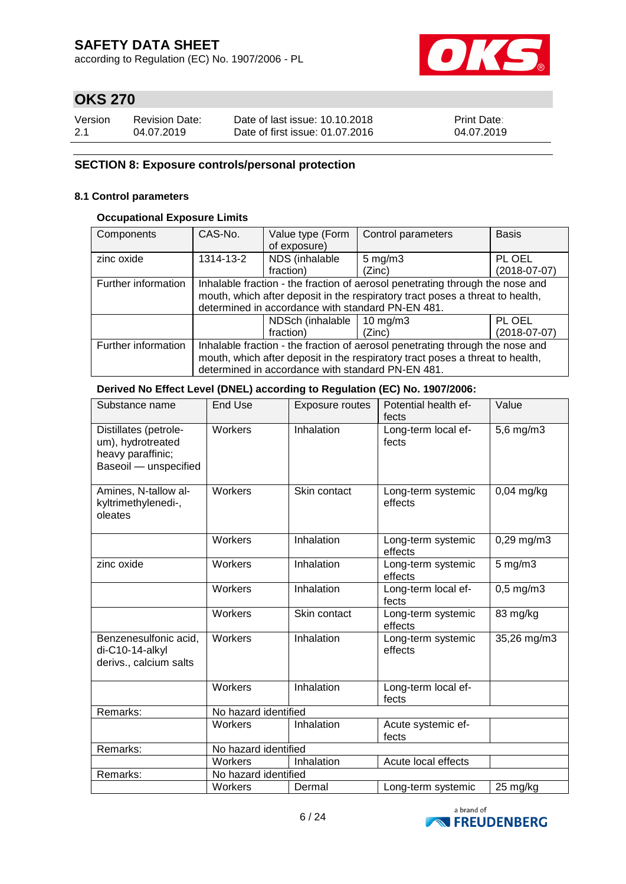according to Regulation (EC) No. 1907/2006 - PL



## **OKS 270**

| Version | <b>Revision Date:</b> | Date of last issue: 10.10.2018  | <b>Print Date:</b> |
|---------|-----------------------|---------------------------------|--------------------|
| 2.1     | 04.07.2019            | Date of first issue: 01.07.2016 | 04.07.2019         |

### **SECTION 8: Exposure controls/personal protection**

### **8.1 Control parameters**

### **Occupational Exposure Limits**

| Components          | CAS-No.                                                                                                                                                                                                             | Value type (Form<br>of exposure)          | Control parameters | <b>Basis</b>   |  |  |  |
|---------------------|---------------------------------------------------------------------------------------------------------------------------------------------------------------------------------------------------------------------|-------------------------------------------|--------------------|----------------|--|--|--|
| zinc oxide          | 1314-13-2                                                                                                                                                                                                           | NDS (inhalable                            | $5 \text{ mg/m}$ 3 | PL OEL         |  |  |  |
|                     |                                                                                                                                                                                                                     | fraction)                                 | (Zinc)             | $(2018-07-07)$ |  |  |  |
| Further information | Inhalable fraction - the fraction of aerosol penetrating through the nose and<br>mouth, which after deposit in the respiratory tract poses a threat to health,<br>determined in accordance with standard PN-EN 481. |                                           |                    |                |  |  |  |
|                     |                                                                                                                                                                                                                     | PL OEL<br>NDSch (inhalable<br>10 mg/m $3$ |                    |                |  |  |  |
|                     |                                                                                                                                                                                                                     | fraction)                                 | (Zinc)             | $(2018-07-07)$ |  |  |  |
| Further information | Inhalable fraction - the fraction of aerosol penetrating through the nose and<br>mouth, which after deposit in the respiratory tract poses a threat to health,<br>determined in accordance with standard PN-EN 481. |                                           |                    |                |  |  |  |
|                     |                                                                                                                                                                                                                     |                                           |                    |                |  |  |  |

### **Derived No Effect Level (DNEL) according to Regulation (EC) No. 1907/2006:**

| Substance name                                                                           | <b>End Use</b>       | <b>Exposure routes</b> | Potential health ef-<br>fects | Value          |
|------------------------------------------------------------------------------------------|----------------------|------------------------|-------------------------------|----------------|
| Distillates (petrole-<br>um), hydrotreated<br>heavy paraffinic;<br>Baseoil - unspecified | Workers              | Inhalation             | Long-term local ef-<br>fects  | 5,6 mg/m3      |
| Amines, N-tallow al-<br>kyltrimethylenedi-,<br>oleates                                   | Workers              | Skin contact           | Long-term systemic<br>effects | $0,04$ mg/kg   |
|                                                                                          | Workers              | Inhalation             | Long-term systemic<br>effects | 0,29 mg/m3     |
| zinc oxide                                                                               | Workers              | Inhalation             | Long-term systemic<br>effects | $5$ mg/m $3$   |
|                                                                                          | Workers              | Inhalation             | Long-term local ef-<br>fects  | $0,5$ mg/m $3$ |
|                                                                                          | Workers              | Skin contact           | Long-term systemic<br>effects | 83 mg/kg       |
| Benzenesulfonic acid,<br>di-C10-14-alkyl<br>derivs., calcium salts                       | Workers              | Inhalation             | Long-term systemic<br>effects | 35,26 mg/m3    |
|                                                                                          | Workers              | Inhalation             | Long-term local ef-<br>fects  |                |
| Remarks:                                                                                 | No hazard identified |                        |                               |                |
|                                                                                          | Workers              | Inhalation             | Acute systemic ef-<br>fects   |                |
| Remarks:                                                                                 | No hazard identified |                        |                               |                |
|                                                                                          | Workers              | Inhalation             | Acute local effects           |                |
| Remarks:                                                                                 | No hazard identified |                        |                               |                |
|                                                                                          | Workers              | Dermal                 | Long-term systemic            | 25 mg/kg       |

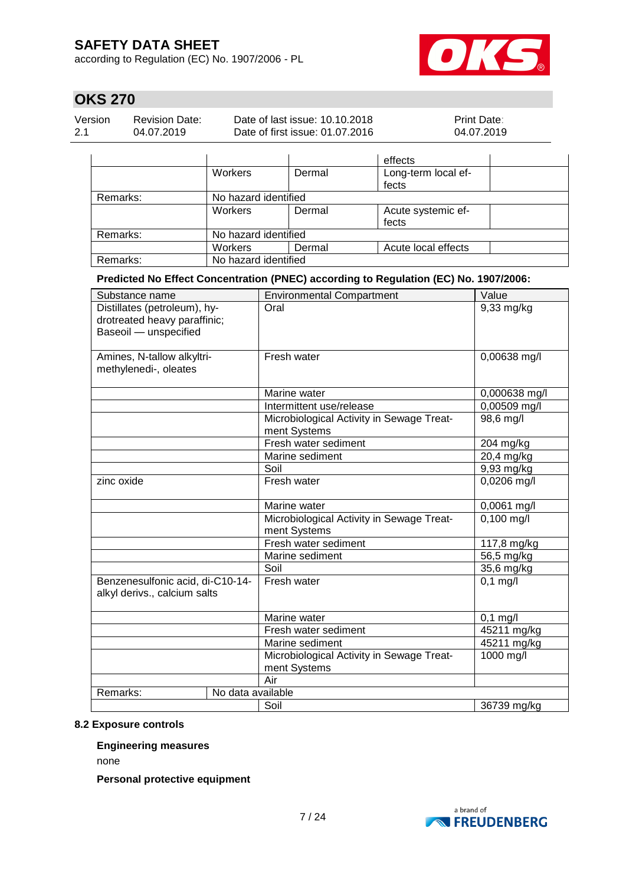according to Regulation (EC) No. 1907/2006 - PL



## **OKS 270**

| Version | <b>Revision Date:</b> | Date of last issue: 10.10.2018  | <b>Print Date:</b> |
|---------|-----------------------|---------------------------------|--------------------|
| 2.1     | 04.07.2019            | Date of first issue: 01.07.2016 | 04.07.2019         |

|          |                      |        | effects             |
|----------|----------------------|--------|---------------------|
|          | Workers              | Dermal | Long-term local ef- |
|          |                      |        | fects               |
| Remarks: | No hazard identified |        |                     |
|          | Workers              | Dermal | Acute systemic ef-  |
|          |                      |        | fects               |
| Remarks: | No hazard identified |        |                     |
|          | <b>Workers</b>       | Dermal | Acute local effects |
| Remarks: | No hazard identified |        |                     |

**Predicted No Effect Concentration (PNEC) according to Regulation (EC) No. 1907/2006:**

| Substance name                                                                        | <b>Environmental Compartment</b>                          | Value         |
|---------------------------------------------------------------------------------------|-----------------------------------------------------------|---------------|
| Distillates (petroleum), hy-<br>drotreated heavy paraffinic;<br>Baseoil - unspecified | Oral                                                      | 9,33 mg/kg    |
| Amines, N-tallow alkyltri-<br>methylenedi-, oleates                                   | Fresh water                                               | 0,00638 mg/l  |
|                                                                                       | Marine water                                              | 0,000638 mg/l |
|                                                                                       | Intermittent use/release                                  | 0,00509 mg/l  |
|                                                                                       | Microbiological Activity in Sewage Treat-<br>ment Systems | 98,6 mg/l     |
|                                                                                       | Fresh water sediment                                      | 204 mg/kg     |
|                                                                                       | Marine sediment                                           | 20,4 mg/kg    |
|                                                                                       | Soil                                                      | 9,93 mg/kg    |
| zinc oxide                                                                            | Fresh water                                               | 0,0206 mg/l   |
|                                                                                       | Marine water                                              | 0,0061 mg/l   |
|                                                                                       | Microbiological Activity in Sewage Treat-<br>ment Systems | $0,100$ mg/l  |
|                                                                                       | Fresh water sediment                                      | 117,8 mg/kg   |
|                                                                                       | Marine sediment                                           | 56,5 mg/kg    |
|                                                                                       | Soil                                                      | 35,6 mg/kg    |
| Benzenesulfonic acid, di-C10-14-<br>alkyl derivs., calcium salts                      | Fresh water                                               | $0,1$ mg/l    |
|                                                                                       | Marine water                                              | $0,1$ mg/l    |
|                                                                                       | Fresh water sediment                                      | 45211 mg/kg   |
|                                                                                       | Marine sediment                                           | 45211 mg/kg   |
|                                                                                       | Microbiological Activity in Sewage Treat-<br>ment Systems | 1000 mg/l     |
|                                                                                       | Air                                                       |               |
| Remarks:<br>No data available                                                         |                                                           |               |
|                                                                                       | Soil                                                      | 36739 mg/kg   |

#### **8.2 Exposure controls**

### **Engineering measures**

none

**Personal protective equipment**

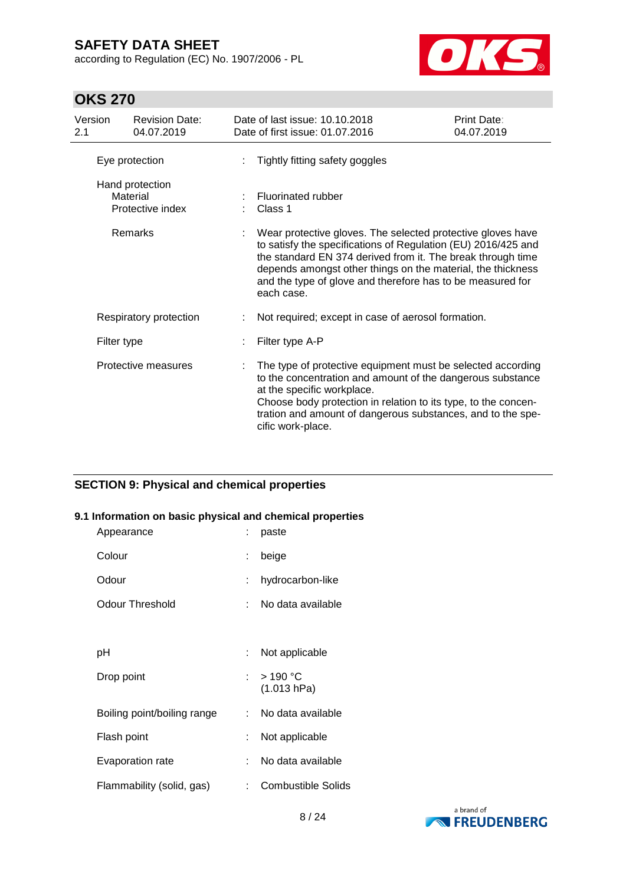according to Regulation (EC) No. 1907/2006 - PL



## **OKS 270**

| Version<br>2.1                                             | <b>Revision Date:</b><br>04.07.2019 |  | Date of last issue: 10.10.2018<br>Date of first issue: 01.07.2016                                                                                                                                                                                                                                                                                                              | Print Date:<br>04.07.2019 |  |  |
|------------------------------------------------------------|-------------------------------------|--|--------------------------------------------------------------------------------------------------------------------------------------------------------------------------------------------------------------------------------------------------------------------------------------------------------------------------------------------------------------------------------|---------------------------|--|--|
|                                                            | Eye protection                      |  | Tightly fitting safety goggles                                                                                                                                                                                                                                                                                                                                                 |                           |  |  |
| Hand protection<br>Material<br>Protective index<br>Remarks |                                     |  | <b>Fluorinated rubber</b><br>Class 1<br>Wear protective gloves. The selected protective gloves have<br>to satisfy the specifications of Regulation (EU) 2016/425 and<br>the standard EN 374 derived from it. The break through time<br>depends amongst other things on the material, the thickness<br>and the type of glove and therefore has to be measured for<br>each case. |                           |  |  |
|                                                            |                                     |  |                                                                                                                                                                                                                                                                                                                                                                                |                           |  |  |
|                                                            | Respiratory protection              |  | Not required; except in case of aerosol formation.                                                                                                                                                                                                                                                                                                                             |                           |  |  |
| Filter type                                                |                                     |  | Filter type A-P                                                                                                                                                                                                                                                                                                                                                                |                           |  |  |
|                                                            | Protective measures                 |  | The type of protective equipment must be selected according<br>to the concentration and amount of the dangerous substance<br>at the specific workplace.<br>Choose body protection in relation to its type, to the concen-<br>tration and amount of dangerous substances, and to the spe-<br>cific work-place.                                                                  |                           |  |  |

### **SECTION 9: Physical and chemical properties**

### **9.1 Information on basic physical and chemical properties**

| Appearance                  |    | paste                      |
|-----------------------------|----|----------------------------|
| Colour                      | t. | beige                      |
| Odour                       | t. | hydrocarbon-like           |
| Odour Threshold             | t. | No data available          |
|                             |    |                            |
| рH                          | t. | Not applicable             |
| Drop point                  |    | : $>190 °C$<br>(1.013 hPa) |
| Boiling point/boiling range | t. | No data available          |
| Flash point                 |    | Not applicable             |
| Evaporation rate            | t. | No data available          |
| Flammability (solid, gas)   | ÷. | <b>Combustible Solids</b>  |

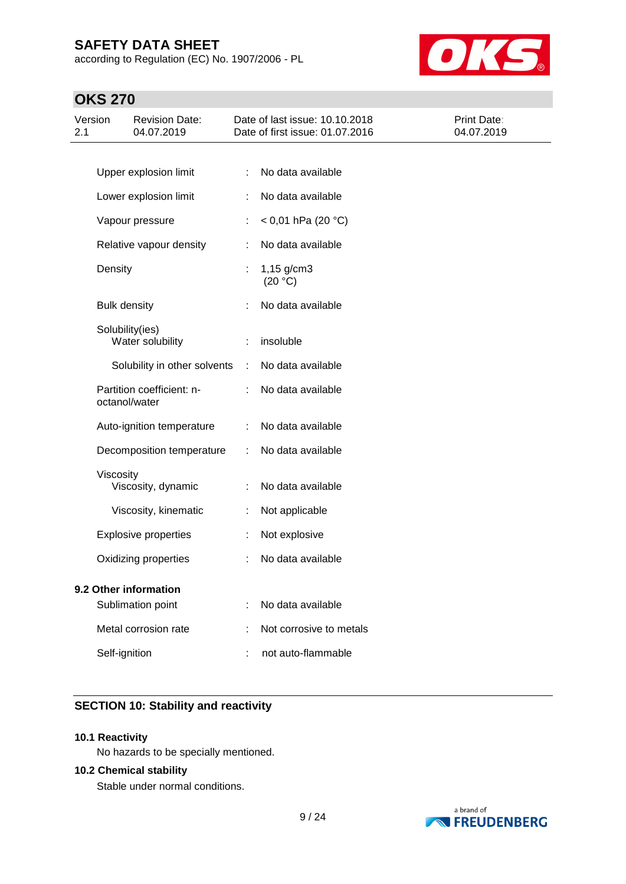according to Regulation (EC) No. 1907/2006 - PL



## **OKS 270**

| Version<br>2.1        |                     | <b>Revision Date:</b><br>04.07.2019        |   | Date of last issue: 10.10.2018<br>Date of first issue: 01.07.2016 | Print Date:<br>04.07.2019 |
|-----------------------|---------------------|--------------------------------------------|---|-------------------------------------------------------------------|---------------------------|
|                       |                     |                                            |   |                                                                   |                           |
|                       |                     | Upper explosion limit                      | ÷ | No data available                                                 |                           |
|                       |                     | Lower explosion limit                      |   | No data available                                                 |                           |
|                       |                     | Vapour pressure                            |   | < 0,01 hPa (20 °C)                                                |                           |
|                       |                     | Relative vapour density                    | ÷ | No data available                                                 |                           |
|                       | Density             |                                            |   | $1,15$ g/cm3<br>(20 °C)                                           |                           |
|                       | <b>Bulk density</b> |                                            |   | No data available                                                 |                           |
|                       |                     | Solubility(ies)<br>Water solubility        |   | insoluble                                                         |                           |
|                       |                     | Solubility in other solvents               | ÷ | No data available                                                 |                           |
|                       |                     | Partition coefficient: n-<br>octanol/water |   | No data available                                                 |                           |
|                       |                     | Auto-ignition temperature                  | ÷ | No data available                                                 |                           |
|                       |                     | Decomposition temperature                  | ÷ | No data available                                                 |                           |
|                       | Viscosity           | Viscosity, dynamic                         |   | No data available                                                 |                           |
|                       |                     | Viscosity, kinematic                       | ÷ | Not applicable                                                    |                           |
|                       |                     | <b>Explosive properties</b>                |   | Not explosive                                                     |                           |
|                       |                     | Oxidizing properties                       |   | No data available                                                 |                           |
| 9.2 Other information |                     |                                            |   |                                                                   |                           |
|                       |                     | Sublimation point                          |   | No data available                                                 |                           |
|                       |                     | Metal corrosion rate                       |   | Not corrosive to metals                                           |                           |
|                       | Self-ignition       |                                            |   | not auto-flammable                                                |                           |
|                       |                     |                                            |   |                                                                   |                           |

### **SECTION 10: Stability and reactivity**

### **10.1 Reactivity**

No hazards to be specially mentioned.

### **10.2 Chemical stability**

Stable under normal conditions.

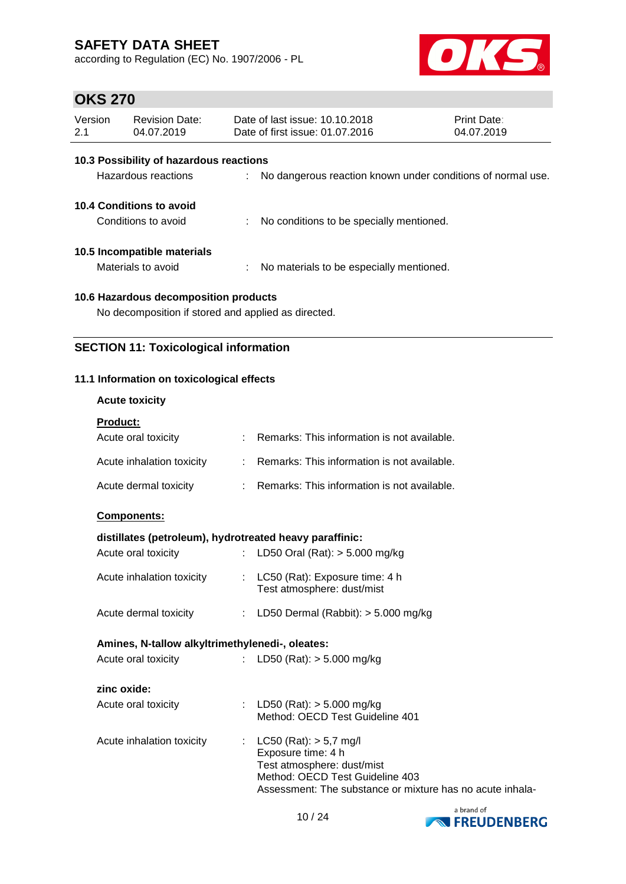according to Regulation (EC) No. 1907/2006 - PL



## **OKS 270**

| Version<br>2.1                                      | <b>Revision Date:</b><br>04.07.2019             |    | Date of last issue: 10.10.2018<br>Date of first issue: 01.07.2016 | Print Date:<br>04.07.2019 |  |  |  |  |  |
|-----------------------------------------------------|-------------------------------------------------|----|-------------------------------------------------------------------|---------------------------|--|--|--|--|--|
|                                                     | 10.3 Possibility of hazardous reactions         |    |                                                                   |                           |  |  |  |  |  |
|                                                     | Hazardous reactions                             |    | : No dangerous reaction known under conditions of normal use.     |                           |  |  |  |  |  |
|                                                     | 10.4 Conditions to avoid<br>Conditions to avoid |    |                                                                   |                           |  |  |  |  |  |
|                                                     |                                                 | ÷. | No conditions to be specially mentioned.                          |                           |  |  |  |  |  |
|                                                     | 10.5 Incompatible materials                     |    |                                                                   |                           |  |  |  |  |  |
|                                                     | Materials to avoid                              |    | : No materials to be especially mentioned.                        |                           |  |  |  |  |  |
| 10.6 Hazardous decomposition products               |                                                 |    |                                                                   |                           |  |  |  |  |  |
| No decomposition if stored and applied as directed. |                                                 |    |                                                                   |                           |  |  |  |  |  |

### **SECTION 11: Toxicological information**

### **11.1 Information on toxicological effects**

**Acute toxicity**

| <b>Product:</b>                                         |    |                                                                  |
|---------------------------------------------------------|----|------------------------------------------------------------------|
| Acute oral toxicity                                     |    | : Remarks: This information is not available.                    |
| Acute inhalation toxicity                               |    | : Remarks: This information is not available.                    |
| Acute dermal toxicity                                   |    | : Remarks: This information is not available.                    |
| Components:                                             |    |                                                                  |
| distillates (petroleum), hydrotreated heavy paraffinic: |    |                                                                  |
| Acute oral toxicity                                     | t. | LD50 Oral (Rat): $> 5.000$ mg/kg                                 |
| Acute inhalation toxicity                               | ÷. | LC50 (Rat): Exposure time: 4 h<br>Test atmosphere: dust/mist     |
| Acute dermal toxicity                                   | ÷. | LD50 Dermal (Rabbit): > 5.000 mg/kg                              |
| Amines, N-tallow alkyltrimethylenedi-, oleates:         |    |                                                                  |
| Acute oral toxicity                                     | t. | LD50 (Rat): $> 5.000$ mg/kg                                      |
| zinc oxide:                                             |    |                                                                  |
| Acute oral toxicity                                     |    | : LD50 (Rat): $>$ 5.000 mg/kg<br>Method: OECD Test Guideline 401 |
| Acute inhalation toxicity                               | t. | $LC50$ (Rat): $> 5.7$ mg/l<br>Exposure time: 4 h                 |



Test atmosphere: dust/mist

Method: OECD Test Guideline 403

Assessment: The substance or mixture has no acute inhala-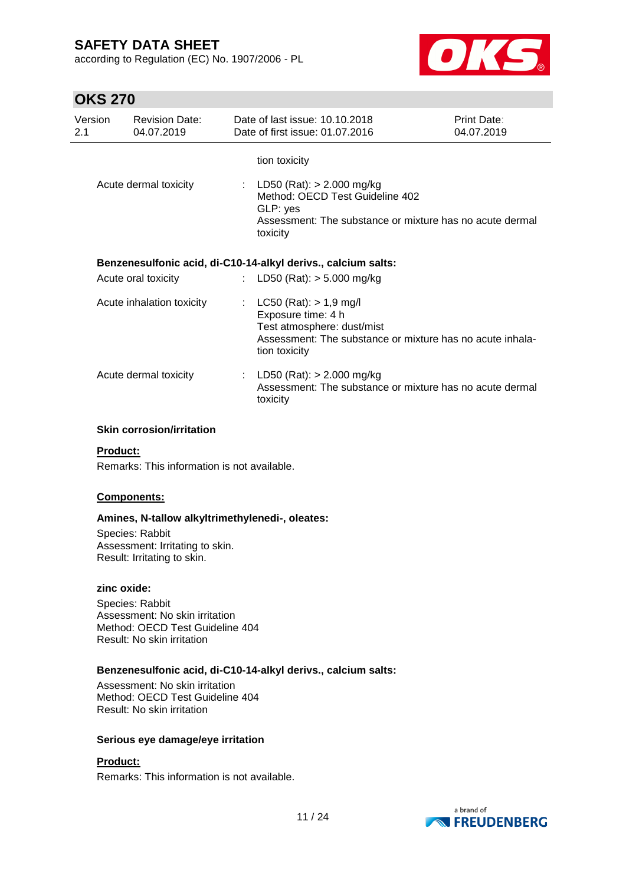according to Regulation (EC) No. 1907/2006 - PL



## **OKS 270**

| Version<br>2.1 | <b>Revision Date:</b><br>04.07.2019 | Date of last issue: 10.10.2018<br>Date of first issue: 01.07.2016                                                                                           | <b>Print Date:</b><br>04.07.2019 |
|----------------|-------------------------------------|-------------------------------------------------------------------------------------------------------------------------------------------------------------|----------------------------------|
|                | Acute dermal toxicity               | tion toxicity<br>: LD50 (Rat): $> 2.000$ mg/kg                                                                                                              |                                  |
|                |                                     | Method: OECD Test Guideline 402<br>GLP: yes<br>Assessment: The substance or mixture has no acute dermal<br>toxicity                                         |                                  |
|                |                                     | Benzenesulfonic acid, di-C10-14-alkyl derivs., calcium salts:                                                                                               |                                  |
|                | Acute oral toxicity                 | : LD50 (Rat): $>$ 5.000 mg/kg                                                                                                                               |                                  |
|                | Acute inhalation toxicity           | : $LC50 (Rat) > 1.9 mg/l$<br>Exposure time: 4 h<br>Test atmosphere: dust/mist<br>Assessment: The substance or mixture has no acute inhala-<br>tion toxicity |                                  |
|                | Acute dermal toxicity               | : LD50 (Rat): $> 2.000$ mg/kg<br>Assessment: The substance or mixture has no acute dermal<br>toxicity                                                       |                                  |

### **Skin corrosion/irritation**

### **Product:**

Remarks: This information is not available.

### **Components:**

#### **Amines, N-tallow alkyltrimethylenedi-, oleates:**

Species: Rabbit Assessment: Irritating to skin. Result: Irritating to skin.

#### **zinc oxide:**

Species: Rabbit Assessment: No skin irritation Method: OECD Test Guideline 404 Result: No skin irritation

### **Benzenesulfonic acid, di-C10-14-alkyl derivs., calcium salts:**

Assessment: No skin irritation Method: OECD Test Guideline 404 Result: No skin irritation

### **Serious eye damage/eye irritation**

### **Product:**

Remarks: This information is not available.

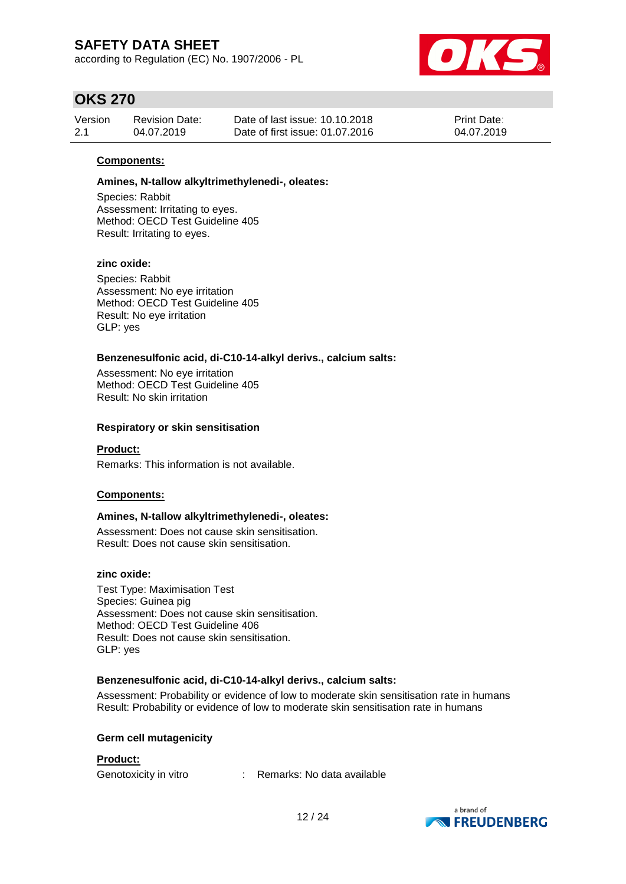according to Regulation (EC) No. 1907/2006 - PL



## **OKS 270**

| Version | <b>Revision Date:</b> | Date of last issue: 10.10.2018  | <b>Print Date:</b> |
|---------|-----------------------|---------------------------------|--------------------|
| 2.1     | 04.07.2019            | Date of first issue: 01.07.2016 | 04.07.2019         |

### **Components:**

#### **Amines, N-tallow alkyltrimethylenedi-, oleates:**

Species: Rabbit Assessment: Irritating to eyes. Method: OECD Test Guideline 405 Result: Irritating to eyes.

### **zinc oxide:**

Species: Rabbit Assessment: No eye irritation Method: OECD Test Guideline 405 Result: No eye irritation GLP: yes

#### **Benzenesulfonic acid, di-C10-14-alkyl derivs., calcium salts:**

Assessment: No eye irritation Method: OECD Test Guideline 405 Result: No skin irritation

#### **Respiratory or skin sensitisation**

### **Product:**

Remarks: This information is not available.

### **Components:**

### **Amines, N-tallow alkyltrimethylenedi-, oleates:**

Assessment: Does not cause skin sensitisation. Result: Does not cause skin sensitisation.

#### **zinc oxide:**

Test Type: Maximisation Test Species: Guinea pig Assessment: Does not cause skin sensitisation. Method: OECD Test Guideline 406 Result: Does not cause skin sensitisation. GLP: yes

### **Benzenesulfonic acid, di-C10-14-alkyl derivs., calcium salts:**

Assessment: Probability or evidence of low to moderate skin sensitisation rate in humans Result: Probability or evidence of low to moderate skin sensitisation rate in humans

#### **Germ cell mutagenicity**

#### **Product:**

Genotoxicity in vitro : Remarks: No data available

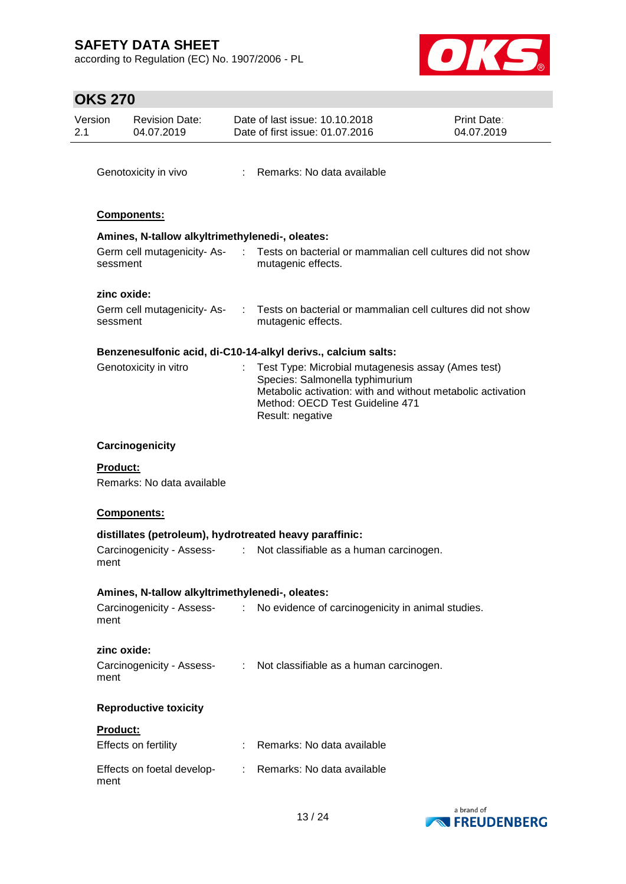according to Regulation (EC) No. 1907/2006 - PL



## **OKS 270**

| Version         | <b>Revision Date:</b><br>04.07.2019             |                               | Date of last issue: 10.10.2018<br>Date of first issue: 01.07.2016                                                                                                                                           | Print Date:<br>04.07.2019 |
|-----------------|-------------------------------------------------|-------------------------------|-------------------------------------------------------------------------------------------------------------------------------------------------------------------------------------------------------------|---------------------------|
|                 | Genotoxicity in vivo                            |                               | : Remarks: No data available                                                                                                                                                                                |                           |
|                 | Components:                                     |                               |                                                                                                                                                                                                             |                           |
|                 | Amines, N-tallow alkyltrimethylenedi-, oleates: |                               |                                                                                                                                                                                                             |                           |
| sessment        | Germ cell mutagenicity-As-                      | $\sim 100$                    | Tests on bacterial or mammalian cell cultures did not show<br>mutagenic effects.                                                                                                                            |                           |
| zinc oxide:     |                                                 |                               |                                                                                                                                                                                                             |                           |
| sessment        | Germ cell mutagenicity-As-                      |                               | Tests on bacterial or mammalian cell cultures did not show<br>mutagenic effects.                                                                                                                            |                           |
|                 |                                                 |                               | Benzenesulfonic acid, di-C10-14-alkyl derivs., calcium salts:                                                                                                                                               |                           |
|                 | Genotoxicity in vitro                           |                               | Test Type: Microbial mutagenesis assay (Ames test)<br>Species: Salmonella typhimurium<br>Metabolic activation: with and without metabolic activation<br>Method: OECD Test Guideline 471<br>Result: negative |                           |
|                 | Carcinogenicity                                 |                               |                                                                                                                                                                                                             |                           |
| <b>Product:</b> | Remarks: No data available                      |                               |                                                                                                                                                                                                             |                           |
|                 | <b>Components:</b>                              |                               |                                                                                                                                                                                                             |                           |
|                 |                                                 |                               | distillates (petroleum), hydrotreated heavy paraffinic:                                                                                                                                                     |                           |
| ment            | Carcinogenicity - Assess-                       | $\mathcal{I}^{\mathcal{I}}$ . | Not classifiable as a human carcinogen.                                                                                                                                                                     |                           |
|                 | Amines, N-tallow alkyltrimethylenedi-, oleates: |                               |                                                                                                                                                                                                             |                           |
| ment            |                                                 |                               | Carcinogenicity - Assess- : No evidence of carcinogenicity in animal studies.                                                                                                                               |                           |
| zinc oxide:     |                                                 |                               |                                                                                                                                                                                                             |                           |
| ment            |                                                 |                               | Carcinogenicity - Assess- : Not classifiable as a human carcinogen.                                                                                                                                         |                           |
|                 | <b>Reproductive toxicity</b>                    |                               |                                                                                                                                                                                                             |                           |
| <b>Product:</b> |                                                 |                               |                                                                                                                                                                                                             |                           |
|                 | Effects on fertility                            |                               | Remarks: No data available                                                                                                                                                                                  |                           |
| ment            | Effects on foetal develop-                      |                               | : Remarks: No data available                                                                                                                                                                                |                           |
|                 |                                                 |                               |                                                                                                                                                                                                             | a hrand of                |

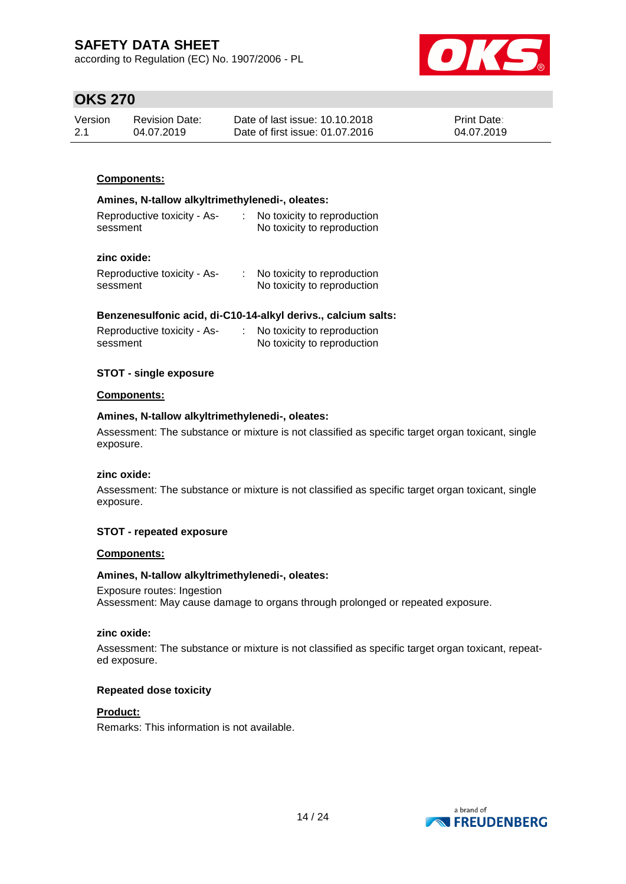according to Regulation (EC) No. 1907/2006 - PL



## **OKS 270**

| Version | Revision Date: | Date of last issue: 10.10.2018  | <b>Print Date:</b> |
|---------|----------------|---------------------------------|--------------------|
| 2.1     | 04.07.2019     | Date of first issue: 01.07.2016 | 04.07.2019         |

### **Components:**

#### **Amines, N-tallow alkyltrimethylenedi-, oleates:**

| No toxicity to reproduction |
|-----------------------------|
| No toxicity to reproduction |
|                             |

### **zinc oxide:**

| Reproductive toxicity - As- | No toxicity to reproduction |
|-----------------------------|-----------------------------|
| sessment                    | No toxicity to reproduction |

### **Benzenesulfonic acid, di-C10-14-alkyl derivs., calcium salts:**

| Reproductive toxicity - As- | No toxicity to reproduction |
|-----------------------------|-----------------------------|
| sessment                    | No toxicity to reproduction |

### **STOT - single exposure**

#### **Components:**

#### **Amines, N-tallow alkyltrimethylenedi-, oleates:**

Assessment: The substance or mixture is not classified as specific target organ toxicant, single exposure.

#### **zinc oxide:**

Assessment: The substance or mixture is not classified as specific target organ toxicant, single exposure.

### **STOT - repeated exposure**

#### **Components:**

### **Amines, N-tallow alkyltrimethylenedi-, oleates:**

Exposure routes: Ingestion Assessment: May cause damage to organs through prolonged or repeated exposure.

#### **zinc oxide:**

Assessment: The substance or mixture is not classified as specific target organ toxicant, repeated exposure.

#### **Repeated dose toxicity**

### **Product:**

Remarks: This information is not available.

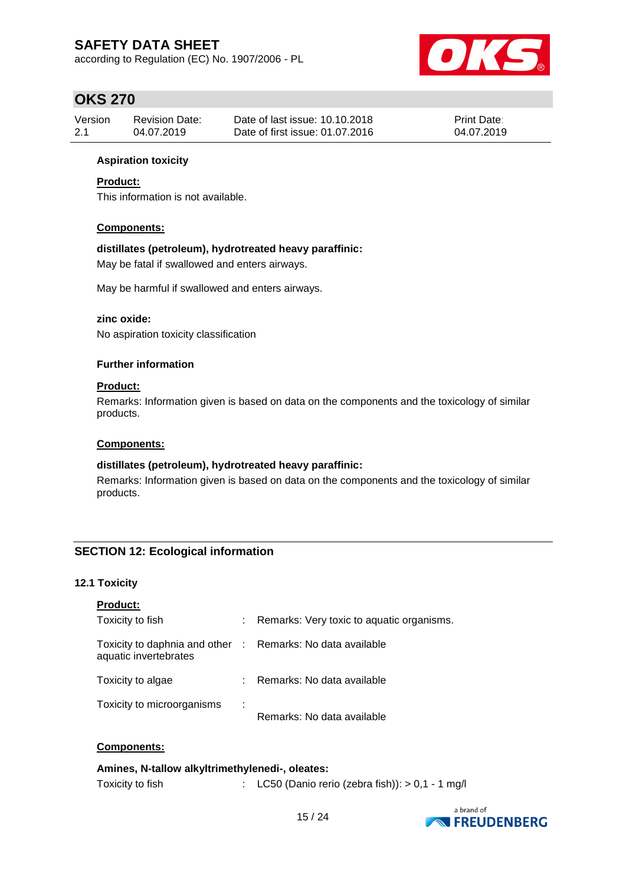according to Regulation (EC) No. 1907/2006 - PL



## **OKS 270**

| Version | Revision Date: | Date of last issue: 10.10.2018  | <b>Print Date:</b> |
|---------|----------------|---------------------------------|--------------------|
| 2.1     | 04.07.2019     | Date of first issue: 01.07.2016 | 04.07.2019         |

### **Aspiration toxicity**

### **Product:**

This information is not available.

### **Components:**

### **distillates (petroleum), hydrotreated heavy paraffinic:**

May be fatal if swallowed and enters airways.

May be harmful if swallowed and enters airways.

### **zinc oxide:**

No aspiration toxicity classification

### **Further information**

### **Product:**

Remarks: Information given is based on data on the components and the toxicology of similar products.

#### **Components:**

### **distillates (petroleum), hydrotreated heavy paraffinic:**

Remarks: Information given is based on data on the components and the toxicology of similar products.

### **SECTION 12: Ecological information**

### **12.1 Toxicity**

| <b>Product:</b>                                                                     |                                           |
|-------------------------------------------------------------------------------------|-------------------------------------------|
| Toxicity to fish                                                                    | Remarks: Very toxic to aquatic organisms. |
| Toxicity to daphnia and other : Remarks: No data available<br>aquatic invertebrates |                                           |
| Toxicity to algae                                                                   | Remarks: No data available                |
| Toxicity to microorganisms                                                          | Remarks: No data available                |

### **Components:**

### **Amines, N-tallow alkyltrimethylenedi-, oleates:**

Toxicity to fish : LC50 (Danio rerio (zebra fish)): > 0,1 - 1 mg/l

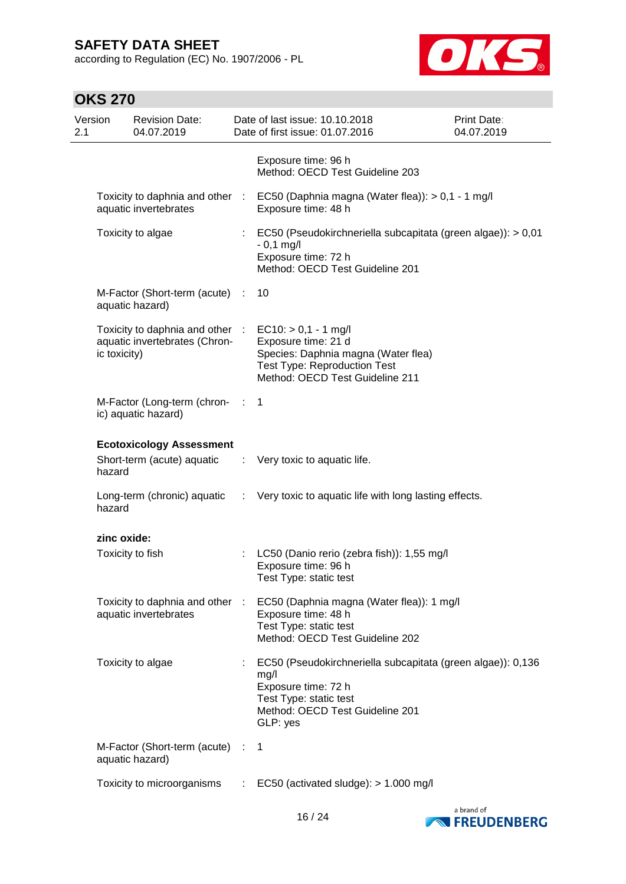according to Regulation (EC) No. 1907/2006 - PL



## **OKS 270**

| Version<br>2.1 |              | <b>Revision Date:</b><br>04.07.2019                              |              | Date of last issue: 10.10.2018<br>Date of first issue: 01.07.2016                                                                                                   | Print Date:<br>04.07.2019 |
|----------------|--------------|------------------------------------------------------------------|--------------|---------------------------------------------------------------------------------------------------------------------------------------------------------------------|---------------------------|
|                |              |                                                                  |              | Exposure time: 96 h<br>Method: OECD Test Guideline 203                                                                                                              |                           |
|                |              | aquatic invertebrates                                            |              | Toxicity to daphnia and other : EC50 (Daphnia magna (Water flea)): > 0,1 - 1 mg/l<br>Exposure time: 48 h                                                            |                           |
|                |              | Toxicity to algae                                                |              | EC50 (Pseudokirchneriella subcapitata (green algae)): > 0,01<br>$-0,1$ mg/l<br>Exposure time: 72 h<br>Method: OECD Test Guideline 201                               |                           |
|                |              | M-Factor (Short-term (acute) :<br>aquatic hazard)                |              | 10                                                                                                                                                                  |                           |
|                | ic toxicity) | Toxicity to daphnia and other :<br>aquatic invertebrates (Chron- |              | $EC10:$ > 0,1 - 1 mg/l<br>Exposure time: 21 d<br>Species: Daphnia magna (Water flea)<br><b>Test Type: Reproduction Test</b><br>Method: OECD Test Guideline 211      |                           |
|                |              | M-Factor (Long-term (chron- :<br>ic) aquatic hazard)             |              | $\mathbf 1$                                                                                                                                                         |                           |
|                |              | <b>Ecotoxicology Assessment</b>                                  |              |                                                                                                                                                                     |                           |
|                | hazard       | Short-term (acute) aquatic                                       |              | : Very toxic to aquatic life.                                                                                                                                       |                           |
|                | hazard       |                                                                  |              | Long-term (chronic) aquatic : Very toxic to aquatic life with long lasting effects.                                                                                 |                           |
|                | zinc oxide:  |                                                                  |              |                                                                                                                                                                     |                           |
|                |              | Toxicity to fish                                                 |              | LC50 (Danio rerio (zebra fish)): 1,55 mg/l<br>Exposure time: 96 h<br>Test Type: static test                                                                         |                           |
|                |              | Toxicity to daphnia and other :<br>aquatic invertebrates         |              | EC50 (Daphnia magna (Water flea)): 1 mg/l<br>Exposure time: 48 h<br>Test Type: static test<br>Method: OECD Test Guideline 202                                       |                           |
|                |              | Toxicity to algae                                                |              | EC50 (Pseudokirchneriella subcapitata (green algae)): 0,136<br>mg/l<br>Exposure time: 72 h<br>Test Type: static test<br>Method: OECD Test Guideline 201<br>GLP: yes |                           |
|                |              | M-Factor (Short-term (acute) :<br>aquatic hazard)                |              | 1                                                                                                                                                                   |                           |
|                |              | Toxicity to microorganisms                                       | $\mathbb{C}$ | EC50 (activated sludge): > 1.000 mg/l                                                                                                                               |                           |

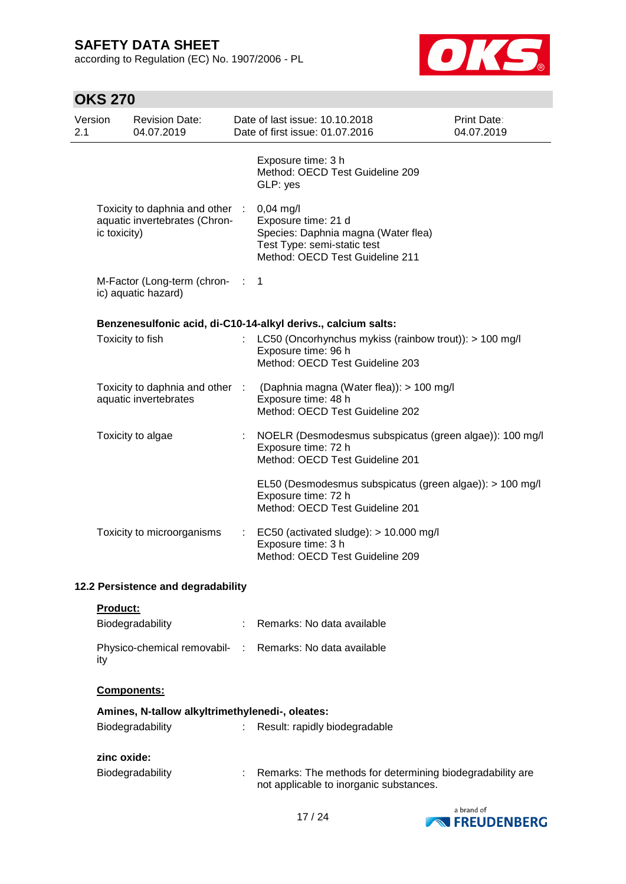according to Regulation (EC) No. 1907/2006 - PL



## **OKS 270**

| Version<br>2.1                     |                 | <b>Revision Date:</b><br>04.07.2019                              |                           | Date of last issue: 10.10.2018<br>Date of first issue: 01.07.2016                                                                         | Print Date:<br>04.07.2019 |
|------------------------------------|-----------------|------------------------------------------------------------------|---------------------------|-------------------------------------------------------------------------------------------------------------------------------------------|---------------------------|
|                                    |                 |                                                                  |                           | Exposure time: 3 h<br>Method: OECD Test Guideline 209<br>GLP: yes                                                                         |                           |
|                                    | ic toxicity)    | Toxicity to daphnia and other :<br>aquatic invertebrates (Chron- |                           | 0,04 mg/l<br>Exposure time: 21 d<br>Species: Daphnia magna (Water flea)<br>Test Type: semi-static test<br>Method: OECD Test Guideline 211 |                           |
|                                    |                 | M-Factor (Long-term (chron-<br>ic) aquatic hazard)               | $\sim 100$                | $\mathbf 1$                                                                                                                               |                           |
|                                    |                 |                                                                  |                           | Benzenesulfonic acid, di-C10-14-alkyl derivs., calcium salts:                                                                             |                           |
|                                    |                 | Toxicity to fish                                                 |                           | LC50 (Oncorhynchus mykiss (rainbow trout)): > 100 mg/l<br>Exposure time: 96 h<br>Method: OECD Test Guideline 203                          |                           |
|                                    |                 | Toxicity to daphnia and other :<br>aquatic invertebrates         |                           | (Daphnia magna (Water flea)): > 100 mg/l<br>Exposure time: 48 h<br>Method: OECD Test Guideline 202                                        |                           |
|                                    |                 | Toxicity to algae                                                |                           | NOELR (Desmodesmus subspicatus (green algae)): 100 mg/l<br>Exposure time: 72 h<br>Method: OECD Test Guideline 201                         |                           |
|                                    |                 |                                                                  |                           | EL50 (Desmodesmus subspicatus (green algae)): > 100 mg/l<br>Exposure time: 72 h<br>Method: OECD Test Guideline 201                        |                           |
|                                    |                 | Toxicity to microorganisms                                       | $\mathbb{Z}^{\mathbb{Z}}$ | EC50 (activated sludge): > 10.000 mg/l<br>Exposure time: 3 h<br>Method: OECD Test Guideline 209                                           |                           |
| 12.2 Persistence and degradability |                 |                                                                  |                           |                                                                                                                                           |                           |
|                                    | <b>Product:</b> |                                                                  |                           |                                                                                                                                           |                           |
|                                    |                 | Biodegradability                                                 | t.                        | Remarks: No data available                                                                                                                |                           |

# **Components:**

ity

| Amines, N-tallow alkyltrimethylenedi-, oleates: |  |                                                                                                        |  |  |  |
|-------------------------------------------------|--|--------------------------------------------------------------------------------------------------------|--|--|--|
| Biodegradability                                |  | : Result: rapidly biodegradable                                                                        |  |  |  |
| zinc oxide:                                     |  |                                                                                                        |  |  |  |
| Biodegradability                                |  | : Remarks: The methods for determining biodegradability are<br>not applicable to inorganic substances. |  |  |  |

Physico-chemical removabil- : Remarks: No data available

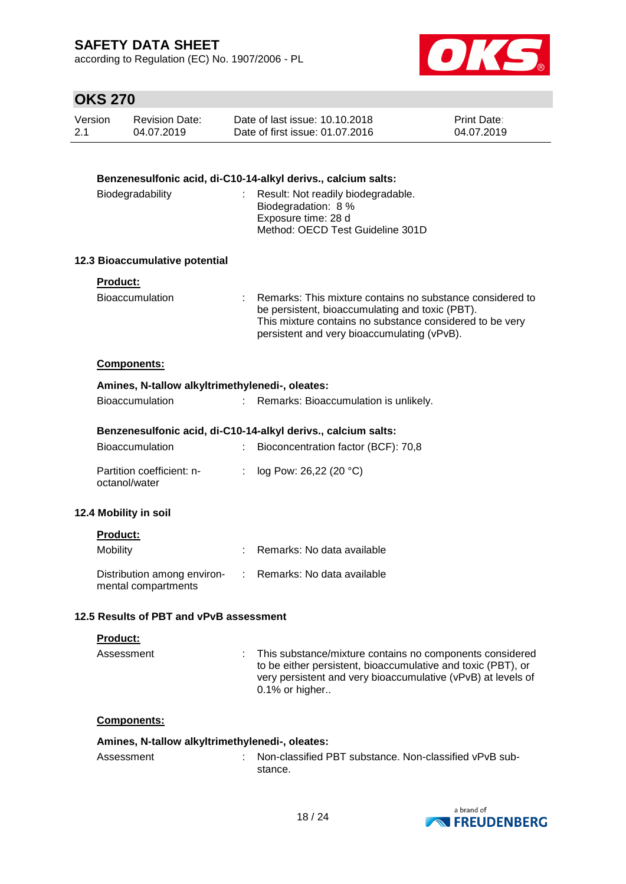according to Regulation (EC) No. 1907/2006 - PL



## **OKS 270**

| Version | <b>Revision Date:</b> | Date of last issue: 10.10.2018  | <b>Print Date:</b> |
|---------|-----------------------|---------------------------------|--------------------|
| 2.1     | 04.07.2019            | Date of first issue: 01.07.2016 | 04.07.2019         |

| Benzenesulfonic acid, di-C10-14-alkyl derivs., calcium salts: |    |                                                                                                                                                                                                                           |  |  |  |  |
|---------------------------------------------------------------|----|---------------------------------------------------------------------------------------------------------------------------------------------------------------------------------------------------------------------------|--|--|--|--|
| Biodegradability                                              |    | Result: Not readily biodegradable.<br>Biodegradation: 8 %<br>Exposure time: 28 d<br>Method: OECD Test Guideline 301D                                                                                                      |  |  |  |  |
| 12.3 Bioaccumulative potential                                |    |                                                                                                                                                                                                                           |  |  |  |  |
| Product:<br>Bioaccumulation                                   |    | : Remarks: This mixture contains no substance considered to<br>be persistent, bioaccumulating and toxic (PBT).<br>This mixture contains no substance considered to be very<br>persistent and very bioaccumulating (vPvB). |  |  |  |  |
| Components:                                                   |    |                                                                                                                                                                                                                           |  |  |  |  |
| Amines, N-tallow alkyltrimethylenedi-, oleates:               |    |                                                                                                                                                                                                                           |  |  |  |  |
| <b>Bioaccumulation</b>                                        |    | Remarks: Bioaccumulation is unlikely.                                                                                                                                                                                     |  |  |  |  |
| Benzenesulfonic acid, di-C10-14-alkyl derivs., calcium salts: |    |                                                                                                                                                                                                                           |  |  |  |  |
| Bioaccumulation                                               | t. | Bioconcentration factor (BCF): 70,8                                                                                                                                                                                       |  |  |  |  |
| Partition coefficient: n-<br>octanol/water                    | ÷. | log Pow: 26,22 (20 °C)                                                                                                                                                                                                    |  |  |  |  |
| 12.4 Mobility in soil                                         |    |                                                                                                                                                                                                                           |  |  |  |  |
| <b>Product:</b>                                               |    |                                                                                                                                                                                                                           |  |  |  |  |
| Mobility                                                      |    | Remarks: No data available                                                                                                                                                                                                |  |  |  |  |
| Distribution among environ-<br>mental compartments            |    | : Remarks: No data available                                                                                                                                                                                              |  |  |  |  |
| 12.5 Results of PBT and vPvB assessment                       |    |                                                                                                                                                                                                                           |  |  |  |  |
| <u>Product:</u>                                               |    |                                                                                                                                                                                                                           |  |  |  |  |
| Assessment                                                    |    | This substance/mixture contains no components considered<br>to be either persistent, bioaccumulative and toxic (PBT), or<br>very persistent and very bioaccumulative (vPvB) at levels of<br>0.1% or higher                |  |  |  |  |
|                                                               |    |                                                                                                                                                                                                                           |  |  |  |  |

### **Components:**

### **Amines, N-tallow alkyltrimethylenedi-, oleates:**

Assessment : Non-classified PBT substance. Non-classified vPvB substance.

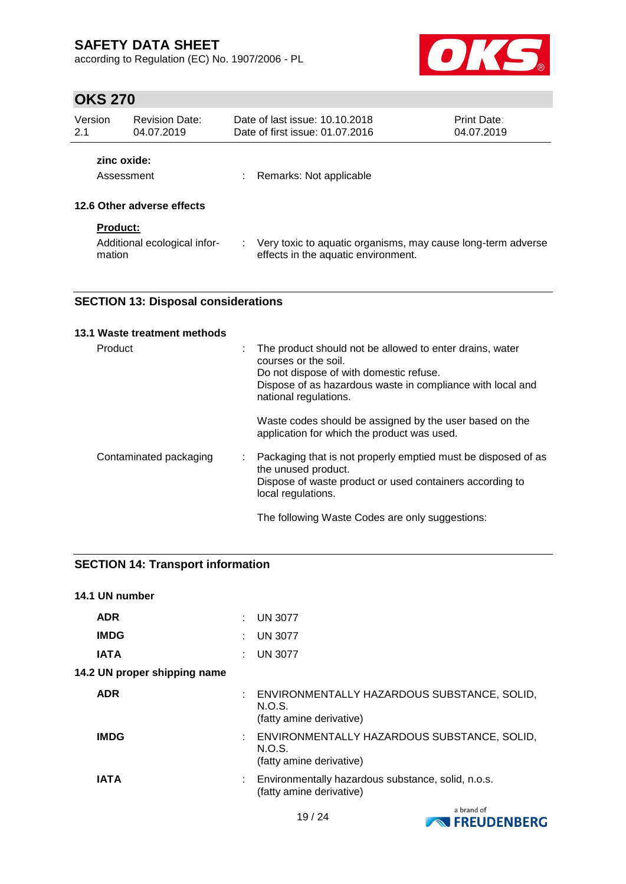according to Regulation (EC) No. 1907/2006 - PL



## **OKS 270**

| Version<br><b>Revision Date:</b><br>2.1<br>04.07.2019     |                            | Date of last issue: 10.10.2018<br>Date of first issue: 01.07.2016                                   | <b>Print Date:</b><br>04.07.2019 |
|-----------------------------------------------------------|----------------------------|-----------------------------------------------------------------------------------------------------|----------------------------------|
|                                                           | zinc oxide:<br>Assessment  | Remarks: Not applicable                                                                             |                                  |
|                                                           | 12.6 Other adverse effects |                                                                                                     |                                  |
| <b>Product:</b><br>Additional ecological infor-<br>mation |                            | Very toxic to aquatic organisms, may cause long-term adverse<br>effects in the aquatic environment. |                                  |

### **SECTION 13: Disposal considerations**

| 13.1 Waste treatment methods |   |                                                                                                                                                                                                                    |
|------------------------------|---|--------------------------------------------------------------------------------------------------------------------------------------------------------------------------------------------------------------------|
| Product                      | ÷ | The product should not be allowed to enter drains, water<br>courses or the soil.<br>Do not dispose of with domestic refuse.<br>Dispose of as hazardous waste in compliance with local and<br>national regulations. |
|                              |   | Waste codes should be assigned by the user based on the<br>application for which the product was used.                                                                                                             |
| Contaminated packaging       | ÷ | Packaging that is not properly emptied must be disposed of as<br>the unused product.<br>Dispose of waste product or used containers according to<br>local regulations.                                             |
|                              |   | The following Waste Codes are only suggestions:                                                                                                                                                                    |

### **SECTION 14: Transport information**

| 14.1 UN number               |                                                                                     |
|------------------------------|-------------------------------------------------------------------------------------|
| <b>ADR</b>                   | <b>UN 3077</b>                                                                      |
| <b>IMDG</b>                  | : UN 3077                                                                           |
| <b>IATA</b>                  | <b>UN 3077</b>                                                                      |
| 14.2 UN proper shipping name |                                                                                     |
| <b>ADR</b>                   | ENVIRONMENTALLY HAZARDOUS SUBSTANCE, SOLID,<br>N.O.S.<br>(fatty amine derivative)   |
| <b>IMDG</b>                  | : ENVIRONMENTALLY HAZARDOUS SUBSTANCE, SOLID,<br>N.O.S.<br>(fatty amine derivative) |
| <b>IATA</b>                  | : Environmentally hazardous substance, solid, n.o.s.<br>(fatty amine derivative)    |

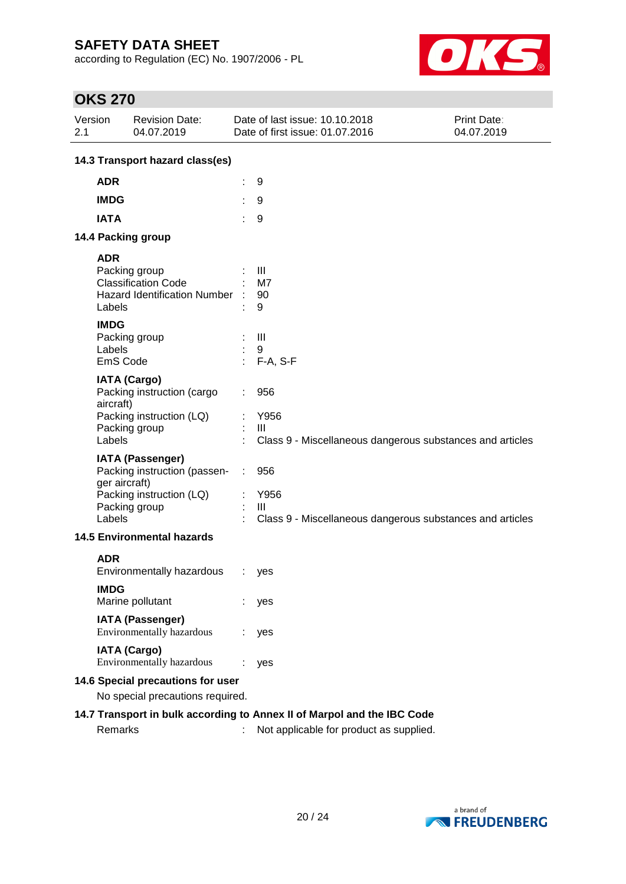according to Regulation (EC) No. 1907/2006 - PL



## **OKS 270**

| Version<br>2.1 |                                                                         | <b>Revision Date:</b><br>04.07.2019                  |  | Date of last issue: 10.10.2018<br>Date of first issue: 01.07.2016 | Print Date:<br>04.07.2019 |  |  |  |
|----------------|-------------------------------------------------------------------------|------------------------------------------------------|--|-------------------------------------------------------------------|---------------------------|--|--|--|
|                | 14.3 Transport hazard class(es)                                         |                                                      |  |                                                                   |                           |  |  |  |
|                | <b>ADR</b>                                                              |                                                      |  | 9                                                                 |                           |  |  |  |
|                | <b>IMDG</b>                                                             |                                                      |  | 9                                                                 |                           |  |  |  |
|                | <b>IATA</b>                                                             |                                                      |  | 9                                                                 |                           |  |  |  |
|                |                                                                         | 14.4 Packing group                                   |  |                                                                   |                           |  |  |  |
|                |                                                                         |                                                      |  |                                                                   |                           |  |  |  |
|                | <b>ADR</b>                                                              | Packing group                                        |  | Ш                                                                 |                           |  |  |  |
|                |                                                                         | <b>Classification Code</b>                           |  | M7                                                                |                           |  |  |  |
|                |                                                                         | <b>Hazard Identification Number</b>                  |  | 90                                                                |                           |  |  |  |
|                | Labels                                                                  |                                                      |  | 9                                                                 |                           |  |  |  |
|                | <b>IMDG</b>                                                             |                                                      |  |                                                                   |                           |  |  |  |
|                |                                                                         | Packing group                                        |  | $\mathbf{III}$                                                    |                           |  |  |  |
|                | Labels<br>EmS Code                                                      |                                                      |  | 9                                                                 |                           |  |  |  |
|                |                                                                         |                                                      |  | F-A, S-F                                                          |                           |  |  |  |
|                |                                                                         | <b>IATA (Cargo)</b>                                  |  |                                                                   |                           |  |  |  |
|                | aircraft)                                                               | Packing instruction (cargo                           |  | 956                                                               |                           |  |  |  |
|                |                                                                         | Packing instruction (LQ)                             |  | Y956                                                              |                           |  |  |  |
|                |                                                                         | Packing group                                        |  | Ш                                                                 |                           |  |  |  |
|                | Labels                                                                  |                                                      |  | Class 9 - Miscellaneous dangerous substances and articles         |                           |  |  |  |
|                |                                                                         | <b>IATA (Passenger)</b>                              |  |                                                                   |                           |  |  |  |
|                |                                                                         | Packing instruction (passen-                         |  | 956                                                               |                           |  |  |  |
|                | ger aircraft)                                                           |                                                      |  |                                                                   |                           |  |  |  |
|                |                                                                         | Packing instruction (LQ)<br>Packing group            |  | Y956<br>$\mathbf{III}$                                            |                           |  |  |  |
|                | Labels                                                                  |                                                      |  | Class 9 - Miscellaneous dangerous substances and articles         |                           |  |  |  |
|                |                                                                         | <b>14.5 Environmental hazards</b>                    |  |                                                                   |                           |  |  |  |
|                |                                                                         |                                                      |  |                                                                   |                           |  |  |  |
|                | <b>ADR</b>                                                              | Environmentally hazardous                            |  | yes                                                               |                           |  |  |  |
|                |                                                                         |                                                      |  |                                                                   |                           |  |  |  |
|                | <b>IMDG</b>                                                             |                                                      |  |                                                                   |                           |  |  |  |
|                |                                                                         | Marine pollutant                                     |  | yes                                                               |                           |  |  |  |
|                |                                                                         | <b>IATA (Passenger)</b><br>Environmentally hazardous |  | yes                                                               |                           |  |  |  |
|                |                                                                         | <b>IATA (Cargo)</b>                                  |  |                                                                   |                           |  |  |  |
|                |                                                                         | Environmentally hazardous                            |  | yes                                                               |                           |  |  |  |
|                | 14.6 Special precautions for user                                       |                                                      |  |                                                                   |                           |  |  |  |
|                |                                                                         | No special precautions required.                     |  |                                                                   |                           |  |  |  |
|                | 14.7 Transport in bulk according to Annex II of Marpol and the IBC Code |                                                      |  |                                                                   |                           |  |  |  |
|                | Remarks                                                                 |                                                      |  | Not applicable for product as supplied.                           |                           |  |  |  |

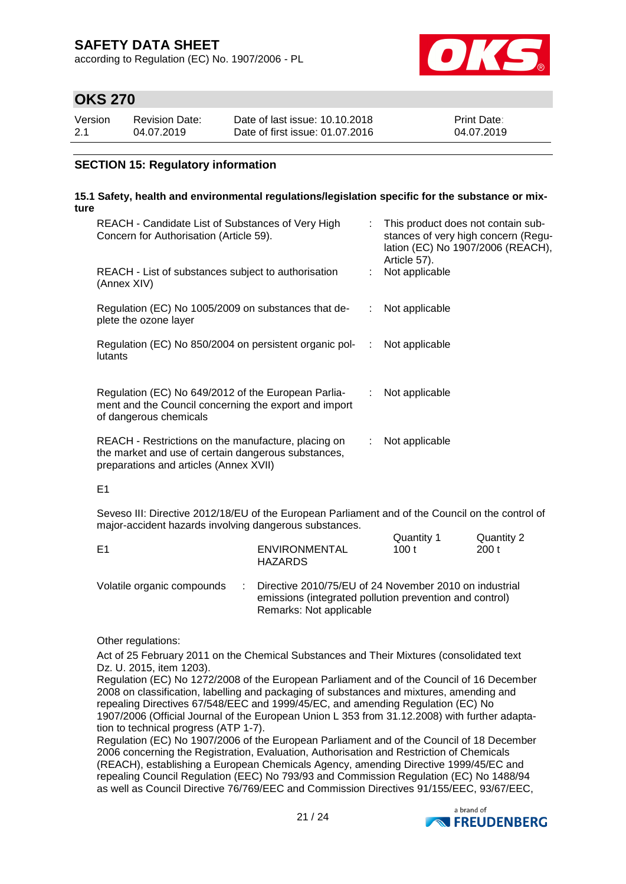according to Regulation (EC) No. 1907/2006 - PL



## **OKS 270**

| Version | Revision Date: | Date of last issue: 10.10.2018  | <b>Print Date:</b> |
|---------|----------------|---------------------------------|--------------------|
| 2.1     | 04.07.2019     | Date of first issue: 01.07.2016 | 04.07.2019         |

### **SECTION 15: Regulatory information**

#### **15.1 Safety, health and environmental regulations/legislation specific for the substance or mixture**

| REACH - Candidate List of Substances of Very High<br>Concern for Authorisation (Article 59).                                                         |     | This product does not contain sub-<br>stances of very high concern (Regu-<br>lation (EC) No 1907/2006 (REACH),<br>Article 57). |
|------------------------------------------------------------------------------------------------------------------------------------------------------|-----|--------------------------------------------------------------------------------------------------------------------------------|
| REACH - List of substances subject to authorisation<br>(Annex XIV)                                                                                   |     | Not applicable                                                                                                                 |
| Regulation (EC) No 1005/2009 on substances that de-<br>plete the ozone layer                                                                         | ÷.  | Not applicable                                                                                                                 |
| Regulation (EC) No 850/2004 on persistent organic pol-<br>lutants                                                                                    | -11 | Not applicable                                                                                                                 |
| Regulation (EC) No 649/2012 of the European Parlia-<br>ment and the Council concerning the export and import<br>of dangerous chemicals               | ÷.  | Not applicable                                                                                                                 |
| REACH - Restrictions on the manufacture, placing on<br>the market and use of certain dangerous substances,<br>preparations and articles (Annex XVII) | ÷.  | Not applicable                                                                                                                 |

#### E1

Seveso III: Directive 2012/18/EU of the European Parliament and of the Council on the control of major-accident hazards involving dangerous substances.  $Q$ uantity 1  $Q$ uantity 2

| E1                         | ENVIRONMENTAL<br><b>HAZARDS</b>                                                                                     | Quantity T<br>100 t | Quantity 2<br>200 t |
|----------------------------|---------------------------------------------------------------------------------------------------------------------|---------------------|---------------------|
| Volatile organic compounds | : Directive 2010/75/EU of 24 November 2010 on industrial<br>emissions (integrated pollution prevention and control) |                     |                     |

Remarks: Not applicable

Other regulations:

Act of 25 February 2011 on the Chemical Substances and Their Mixtures (consolidated text Dz. U. 2015, item 1203).

Regulation (EC) No 1272/2008 of the European Parliament and of the Council of 16 December 2008 on classification, labelling and packaging of substances and mixtures, amending and repealing Directives 67/548/EEC and 1999/45/EC, and amending Regulation (EC) No 1907/2006 (Official Journal of the European Union L 353 from 31.12.2008) with further adaptation to technical progress (ATP 1-7).

Regulation (EC) No 1907/2006 of the European Parliament and of the Council of 18 December 2006 concerning the Registration, Evaluation, Authorisation and Restriction of Chemicals (REACH), establishing a European Chemicals Agency, amending Directive 1999/45/EC and repealing Council Regulation (EEC) No 793/93 and Commission Regulation (EC) No 1488/94 as well as Council Directive 76/769/EEC and Commission Directives 91/155/EEC, 93/67/EEC,

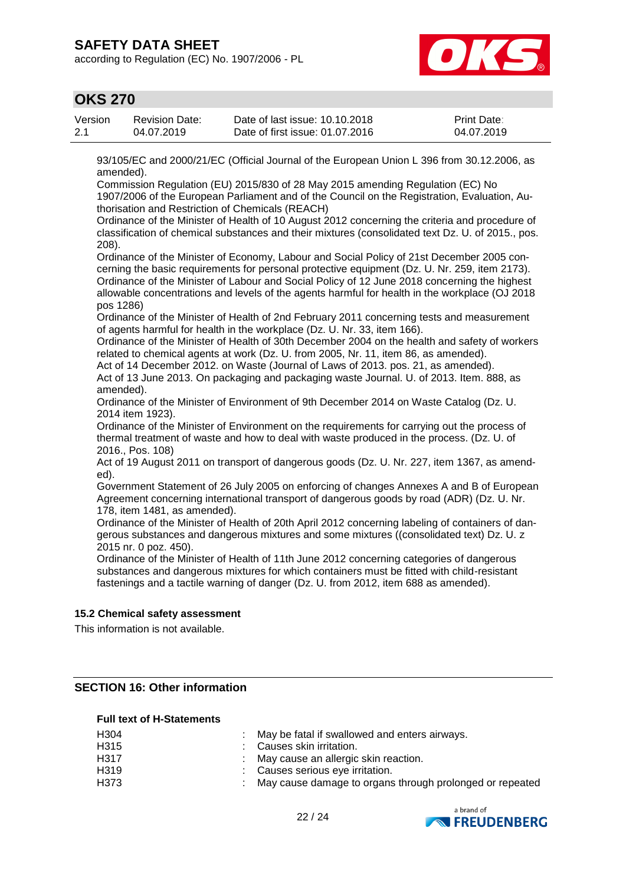according to Regulation (EC) No. 1907/2006 - PL



### **OKS 270**

| Version | Revision Date: | Date of last issue: 10.10.2018  | <b>Print Date:</b> |
|---------|----------------|---------------------------------|--------------------|
| 2.1     | 04.07.2019     | Date of first issue: 01.07.2016 | 04.07.2019         |

93/105/EC and 2000/21/EC (Official Journal of the European Union L 396 from 30.12.2006, as amended).

Commission Regulation (EU) 2015/830 of 28 May 2015 amending Regulation (EC) No

1907/2006 of the European Parliament and of the Council on the Registration, Evaluation, Authorisation and Restriction of Chemicals (REACH)

Ordinance of the Minister of Health of 10 August 2012 concerning the criteria and procedure of classification of chemical substances and their mixtures (consolidated text Dz. U. of 2015., pos. 208).

Ordinance of the Minister of Economy, Labour and Social Policy of 21st December 2005 concerning the basic requirements for personal protective equipment (Dz. U. Nr. 259, item 2173). Ordinance of the Minister of Labour and Social Policy of 12 June 2018 concerning the highest allowable concentrations and levels of the agents harmful for health in the workplace (OJ 2018 pos 1286)

Ordinance of the Minister of Health of 2nd February 2011 concerning tests and measurement of agents harmful for health in the workplace (Dz. U. Nr. 33, item 166).

Ordinance of the Minister of Health of 30th December 2004 on the health and safety of workers related to chemical agents at work (Dz. U. from 2005, Nr. 11, item 86, as amended).

Act of 14 December 2012. on Waste (Journal of Laws of 2013. pos. 21, as amended). Act of 13 June 2013. On packaging and packaging waste Journal. U. of 2013. Item. 888, as amended).

Ordinance of the Minister of Environment of 9th December 2014 on Waste Catalog (Dz. U. 2014 item 1923).

Ordinance of the Minister of Environment on the requirements for carrying out the process of thermal treatment of waste and how to deal with waste produced in the process. (Dz. U. of 2016., Pos. 108)

Act of 19 August 2011 on transport of dangerous goods (Dz. U. Nr. 227, item 1367, as amended).

Government Statement of 26 July 2005 on enforcing of changes Annexes A and B of European Agreement concerning international transport of dangerous goods by road (ADR) (Dz. U. Nr. 178, item 1481, as amended).

Ordinance of the Minister of Health of 20th April 2012 concerning labeling of containers of dangerous substances and dangerous mixtures and some mixtures ((consolidated text) Dz. U. z 2015 nr. 0 poz. 450).

Ordinance of the Minister of Health of 11th June 2012 concerning categories of dangerous substances and dangerous mixtures for which containers must be fitted with child-resistant fastenings and a tactile warning of danger (Dz. U. from 2012, item 688 as amended).

### **15.2 Chemical safety assessment**

This information is not available.

### **SECTION 16: Other information**

#### **Full text of H-Statements**

| H <sub>304</sub> | : May be fatal if swallowed and enters airways.            |
|------------------|------------------------------------------------------------|
| H315             | : Causes skin irritation.                                  |
| H317             | : May cause an allergic skin reaction.                     |
| H <sub>319</sub> | : Causes serious eye irritation.                           |
| H373             | : May cause damage to organs through prolonged or repeated |

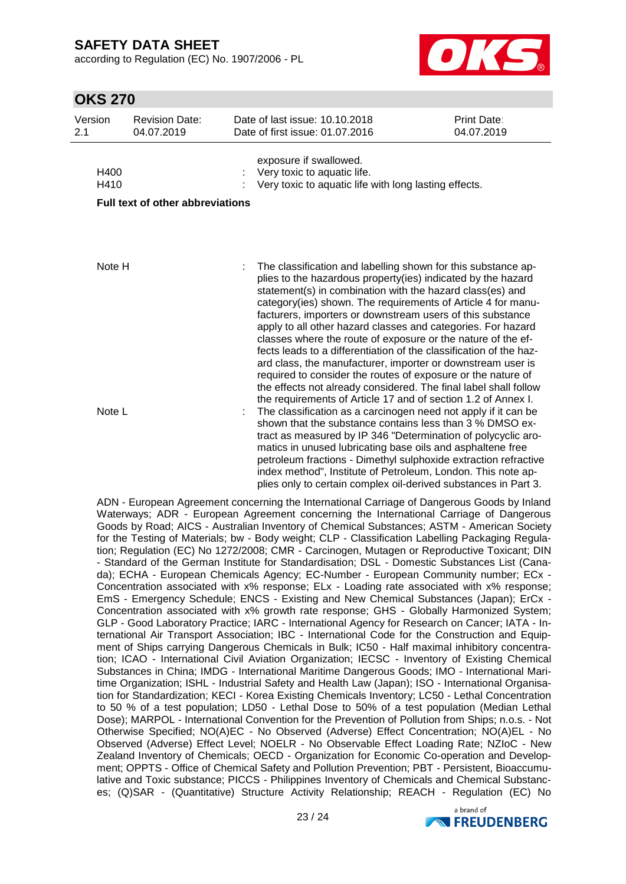according to Regulation (EC) No. 1907/2006 - PL



## **OKS 270**

| Version<br>2.1 | <b>Revision Date:</b><br>04.07.2019     |  | Date of last issue: 10.10.2018<br>Date of first issue: 01.07.2016                                                                                                                                                                                                                                                                                                                                                                                                                                                                                                                                                                                                                                                                                                                                  | Print Date:<br>04.07.2019 |
|----------------|-----------------------------------------|--|----------------------------------------------------------------------------------------------------------------------------------------------------------------------------------------------------------------------------------------------------------------------------------------------------------------------------------------------------------------------------------------------------------------------------------------------------------------------------------------------------------------------------------------------------------------------------------------------------------------------------------------------------------------------------------------------------------------------------------------------------------------------------------------------------|---------------------------|
| H400<br>H410   |                                         |  | exposure if swallowed.<br>Very toxic to aquatic life.<br>Very toxic to aquatic life with long lasting effects.                                                                                                                                                                                                                                                                                                                                                                                                                                                                                                                                                                                                                                                                                     |                           |
|                | <b>Full text of other abbreviations</b> |  |                                                                                                                                                                                                                                                                                                                                                                                                                                                                                                                                                                                                                                                                                                                                                                                                    |                           |
|                |                                         |  |                                                                                                                                                                                                                                                                                                                                                                                                                                                                                                                                                                                                                                                                                                                                                                                                    |                           |
| Note H         |                                         |  | The classification and labelling shown for this substance ap-<br>plies to the hazardous property(ies) indicated by the hazard<br>statement(s) in combination with the hazard class(es) and<br>category(ies) shown. The requirements of Article 4 for manu-<br>facturers, importers or downstream users of this substance<br>apply to all other hazard classes and categories. For hazard<br>classes where the route of exposure or the nature of the ef-<br>fects leads to a differentiation of the classification of the haz-<br>ard class, the manufacturer, importer or downstream user is<br>required to consider the routes of exposure or the nature of<br>the effects not already considered. The final label shall follow<br>the requirements of Article 17 and of section 1.2 of Annex I. |                           |
| Note L         |                                         |  | The classification as a carcinogen need not apply if it can be<br>shown that the substance contains less than 3 % DMSO ex-<br>tract as measured by IP 346 "Determination of polycyclic aro-<br>matics in unused lubricating base oils and asphaltene free<br>petroleum fractions - Dimethyl sulphoxide extraction refractive<br>index method", Institute of Petroleum, London. This note ap-<br>plies only to certain complex oil-derived substances in Part 3.                                                                                                                                                                                                                                                                                                                                    |                           |

ADN - European Agreement concerning the International Carriage of Dangerous Goods by Inland Waterways; ADR - European Agreement concerning the International Carriage of Dangerous Goods by Road; AICS - Australian Inventory of Chemical Substances; ASTM - American Society for the Testing of Materials; bw - Body weight; CLP - Classification Labelling Packaging Regulation; Regulation (EC) No 1272/2008; CMR - Carcinogen, Mutagen or Reproductive Toxicant; DIN - Standard of the German Institute for Standardisation; DSL - Domestic Substances List (Canada); ECHA - European Chemicals Agency; EC-Number - European Community number; ECx - Concentration associated with x% response; ELx - Loading rate associated with x% response; EmS - Emergency Schedule; ENCS - Existing and New Chemical Substances (Japan); ErCx - Concentration associated with x% growth rate response; GHS - Globally Harmonized System; GLP - Good Laboratory Practice; IARC - International Agency for Research on Cancer; IATA - International Air Transport Association; IBC - International Code for the Construction and Equipment of Ships carrying Dangerous Chemicals in Bulk; IC50 - Half maximal inhibitory concentration; ICAO - International Civil Aviation Organization; IECSC - Inventory of Existing Chemical Substances in China; IMDG - International Maritime Dangerous Goods; IMO - International Maritime Organization; ISHL - Industrial Safety and Health Law (Japan); ISO - International Organisation for Standardization; KECI - Korea Existing Chemicals Inventory; LC50 - Lethal Concentration to 50 % of a test population; LD50 - Lethal Dose to 50% of a test population (Median Lethal Dose); MARPOL - International Convention for the Prevention of Pollution from Ships; n.o.s. - Not Otherwise Specified; NO(A)EC - No Observed (Adverse) Effect Concentration; NO(A)EL - No Observed (Adverse) Effect Level; NOELR - No Observable Effect Loading Rate; NZIoC - New Zealand Inventory of Chemicals; OECD - Organization for Economic Co-operation and Development; OPPTS - Office of Chemical Safety and Pollution Prevention; PBT - Persistent, Bioaccumulative and Toxic substance; PICCS - Philippines Inventory of Chemicals and Chemical Substances; (Q)SAR - (Quantitative) Structure Activity Relationship; REACH - Regulation (EC) No